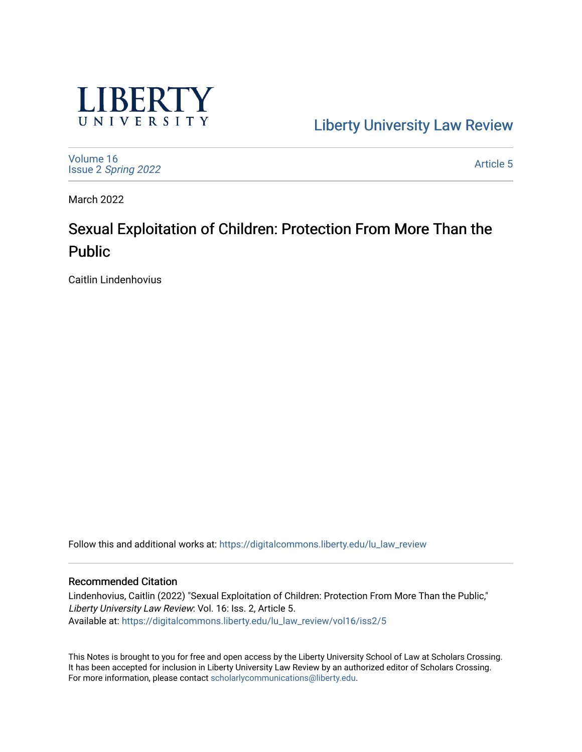

[Liberty University Law Review](https://digitalcommons.liberty.edu/lu_law_review) 

[Volume 16](https://digitalcommons.liberty.edu/lu_law_review/vol16) Issue 2 [Spring 2022](https://digitalcommons.liberty.edu/lu_law_review/vol16/iss2) 

[Article 5](https://digitalcommons.liberty.edu/lu_law_review/vol16/iss2/5) 

March 2022

# Sexual Exploitation of Children: Protection From More Than the Public

Caitlin Lindenhovius

Follow this and additional works at: [https://digitalcommons.liberty.edu/lu\\_law\\_review](https://digitalcommons.liberty.edu/lu_law_review?utm_source=digitalcommons.liberty.edu%2Flu_law_review%2Fvol16%2Fiss2%2F5&utm_medium=PDF&utm_campaign=PDFCoverPages) 

## Recommended Citation

Lindenhovius, Caitlin (2022) "Sexual Exploitation of Children: Protection From More Than the Public," Liberty University Law Review: Vol. 16: Iss. 2, Article 5. Available at: [https://digitalcommons.liberty.edu/lu\\_law\\_review/vol16/iss2/5](https://digitalcommons.liberty.edu/lu_law_review/vol16/iss2/5?utm_source=digitalcommons.liberty.edu%2Flu_law_review%2Fvol16%2Fiss2%2F5&utm_medium=PDF&utm_campaign=PDFCoverPages) 

This Notes is brought to you for free and open access by the Liberty University School of Law at Scholars Crossing. It has been accepted for inclusion in Liberty University Law Review by an authorized editor of Scholars Crossing. For more information, please contact [scholarlycommunications@liberty.edu](mailto:scholarlycommunications@liberty.edu).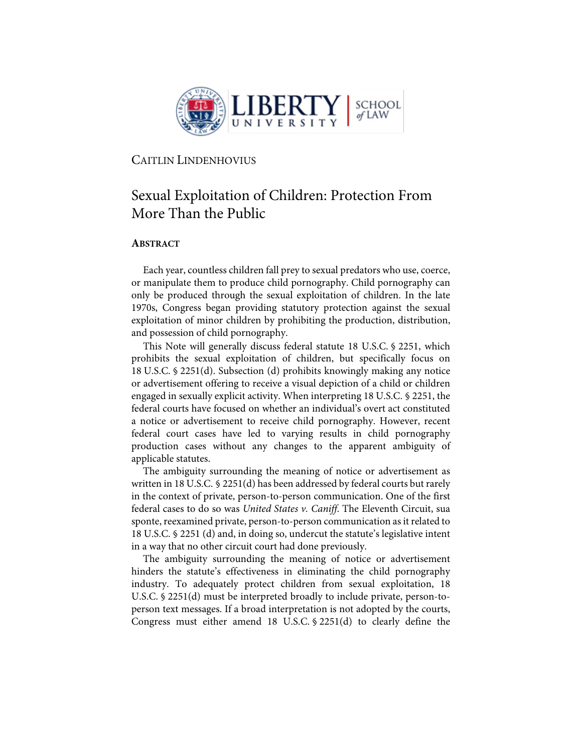

## CAITLIN LINDENHOVIUS

## Sexual Exploitation of Children: Protection From More Than the Public

## **ABSTRACT**

Each year, countless children fall prey to sexual predators who use, coerce, or manipulate them to produce child pornography. Child pornography can only be produced through the sexual exploitation of children. In the late 1970s, Congress began providing statutory protection against the sexual exploitation of minor children by prohibiting the production, distribution, and possession of child pornography.

This Note will generally discuss federal statute 18 U.S.C. § 2251, which prohibits the sexual exploitation of children, but specifically focus on 18 U.S.C. § 2251(d). Subsection (d) prohibits knowingly making any notice or advertisement offering to receive a visual depiction of a child or children engaged in sexually explicit activity. When interpreting 18 U.S.C. § 2251, the federal courts have focused on whether an individual's overt act constituted a notice or advertisement to receive child pornography. However, recent federal court cases have led to varying results in child pornography production cases without any changes to the apparent ambiguity of applicable statutes.

The ambiguity surrounding the meaning of notice or advertisement as written in 18 U.S.C. § 2251(d) has been addressed by federal courts but rarely in the context of private, person-to-person communication. One of the first federal cases to do so was *United States v. Caniff*. The Eleventh Circuit, sua sponte, reexamined private, person-to-person communication as it related to 18 U.S.C. § 2251 (d) and, in doing so, undercut the statute's legislative intent in a way that no other circuit court had done previously.

The ambiguity surrounding the meaning of notice or advertisement hinders the statute's effectiveness in eliminating the child pornography industry. To adequately protect children from sexual exploitation, 18 U.S.C. § 2251(d) must be interpreted broadly to include private, person-toperson text messages. If a broad interpretation is not adopted by the courts, Congress must either amend 18 U.S.C. § 2251(d) to clearly define the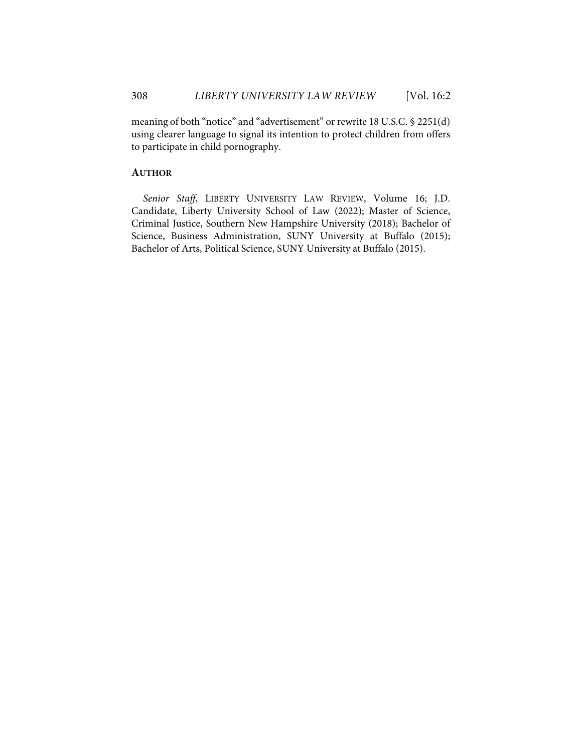meaning of both "notice" and "advertisement" or rewrite 18 U.S.C. § 2251(d) using clearer language to signal its intention to protect children from offers to participate in child pornography.

## **AUTHOR**

*Senior Staff*, LIBERTY UNIVERSITY LAW REVIEW, Volume 16; J.D. Candidate, Liberty University School of Law (2022); Master of Science, Criminal Justice, Southern New Hampshire University (2018); Bachelor of Science, Business Administration, SUNY University at Buffalo (2015); Bachelor of Arts, Political Science, SUNY University at Buffalo (2015).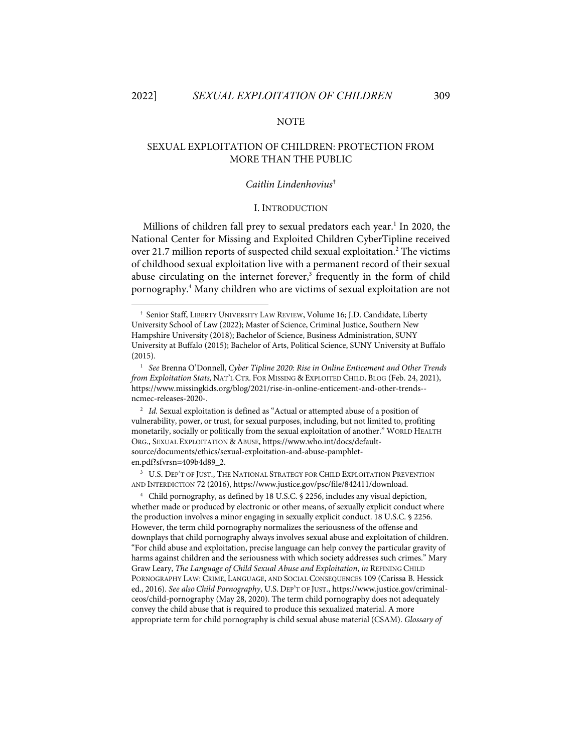#### **NOTE**

## SEXUAL EXPLOITATION OF CHILDREN: PROTECTION FROM MORE THAN THE PUBLIC

#### *Caitlin Lindenhovius*†

#### I. INTRODUCTION

Millions of children fall prey to sexual predators each year.<sup>1</sup> In 2020, the National Center for Missing and Exploited Children CyberTipline received over 21.7 million reports of suspected child sexual exploitation.<sup>2</sup> The victims of childhood sexual exploitation live with a permanent record of their sexual abuse circulating on the internet forever, <sup>3</sup> frequently in the form of child pornography. <sup>4</sup> Many children who are victims of sexual exploitation are not

<sup>2</sup> *Id.* Sexual exploitation is defined as "Actual or attempted abuse of a position of vulnerability, power, or trust, for sexual purposes, including, but not limited to, profiting monetarily, socially or politically from the sexual exploitation of another." WORLD HEALTH ORG., SEXUAL EXPLOITATION & ABUSE, https://www.who.int/docs/defaultsource/documents/ethics/sexual-exploitation-and-abuse-pamphleten.pdf?sfvrsn=409b4d89\_2.

3 U.S. DEP'T OF JUST., THE NATIONAL STRATEGY FOR CHILD EXPLOITATION PREVENTION AND INTERDICTION 72 (2016), https://www.justice.gov/psc/file/842411/download.

4 Child pornography, as defined by 18 U.S.C. § 2256, includes any visual depiction, whether made or produced by electronic or other means, of sexually explicit conduct where the production involves a minor engaging in sexually explicit conduct. 18 U.S.C. § 2256. However, the term child pornography normalizes the seriousness of the offense and downplays that child pornography always involves sexual abuse and exploitation of children. "For child abuse and exploitation, precise language can help convey the particular gravity of harms against children and the seriousness with which society addresses such crimes." Mary Graw Leary, *The Language of Child Sexual Abuse and Exploitation*, *in* REFINING CHILD PORNOGRAPHY LAW: CRIME, LANGUAGE, AND SOCIAL CONSEQUENCES 109 (Carissa B. Hessick ed., 2016). *See also Child Pornography*, U.S. DEP'T OF JUST., https://www.justice.gov/criminalceos/child-pornography (May 28, 2020). The term child pornography does not adequately convey the child abuse that is required to produce this sexualized material. A more appropriate term for child pornography is child sexual abuse material (CSAM). *Glossary of* 

<sup>†</sup> Senior Staff, LIBERTY UNIVERSITY LAW REVIEW, Volume 16; J.D. Candidate, Liberty University School of Law (2022); Master of Science, Criminal Justice, Southern New Hampshire University (2018); Bachelor of Science, Business Administration, SUNY University at Buffalo (2015); Bachelor of Arts, Political Science, SUNY University at Buffalo (2015).

<sup>1</sup> *See* Brenna O'Donnell, *Cyber Tipline 2020: Rise in Online Enticement and Other Trends from Exploitation Stats,* NAT'L CTR. FOR MISSING & EXPLOITED CHILD. BLOG (Feb. 24, 2021), https://www.missingkids.org/blog/2021/rise-in-online-enticement-and-other-trends- ncmec-releases-2020-.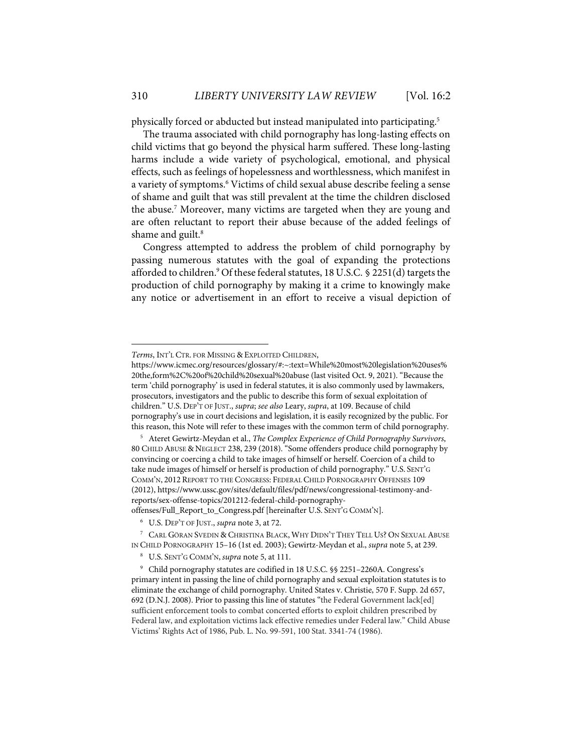physically forced or abducted but instead manipulated into participating. 5

The trauma associated with child pornography has long-lasting effects on child victims that go beyond the physical harm suffered. These long-lasting harms include a wide variety of psychological, emotional, and physical effects, such as feelings of hopelessness and worthlessness, which manifest in a variety of symptoms. <sup>6</sup> Victims of child sexual abuse describe feeling a sense of shame and guilt that was still prevalent at the time the children disclosed the abuse.7 Moreover, many victims are targeted when they are young and are often reluctant to report their abuse because of the added feelings of shame and guilt.<sup>8</sup>

Congress attempted to address the problem of child pornography by passing numerous statutes with the goal of expanding the protections afforded to children.<sup>9</sup> Of these federal statutes, 18 U.S.C. § 2251(d) targets the production of child pornography by making it a crime to knowingly make any notice or advertisement in an effort to receive a visual depiction of

offenses/Full\_Report\_to\_Congress.pdf [hereinafter U.S. SENT'G COMM'N].

*Terms*, INT'L CTR. FOR MISSING & EXPLOITED CHILDREN,

https://www.icmec.org/resources/glossary/#:~:text=While%20most%20legislation%20uses% 20the,form%2C%20of%20child%20sexual%20abuse (last visited Oct. 9, 2021). "Because the term 'child pornography' is used in federal statutes, it is also commonly used by lawmakers, prosecutors, investigators and the public to describe this form of sexual exploitation of children." U.S. DEP'T OF JUST., *supra*; *see also* Leary, *supra*, at 109. Because of child pornography's use in court decisions and legislation, it is easily recognized by the public. For this reason, this Note will refer to these images with the common term of child pornography.

<sup>5</sup> Ateret Gewirtz-Meydan et al., *The Complex Experience of Child Pornography Survivors*, 80 CHILD ABUSE & NEGLECT 238, 239 (2018). "Some offenders produce child pornography by convincing or coercing a child to take images of himself or herself. Coercion of a child to take nude images of himself or herself is production of child pornography." U.S. SENT'G COMM'N, 2012 REPORT TO THE CONGRESS: FEDERAL CHILD PORNOGRAPHY OFFENSES 109 (2012), https://www.ussc.gov/sites/default/files/pdf/news/congressional-testimony-andreports/sex-offense-topics/201212-federal-child-pornography-

<sup>6</sup> U.S. DEP'T OF JUST., *supra* note 3, at 72.

<sup>7</sup> CARL GÖRAN SVEDIN & CHRISTINA BLACK, WHY DIDN'T THEY TELL US? ON SEXUAL ABUSE IN CHILD PORNOGRAPHY 15–16 (1st ed. 2003); Gewirtz-Meydan et al., *supra* note 5, at 239.

<sup>8</sup> U.S. SENT'G COMM'N, *supra* note 5, at 111.

<sup>9</sup> Child pornography statutes are codified in 18 U.S.C. §§ 2251–2260A. Congress's primary intent in passing the line of child pornography and sexual exploitation statutes is to eliminate the exchange of child pornography. United States v. Christie, 570 F. Supp. 2d 657, 692 (D.N.J. 2008). Prior to passing this line of statutes "the Federal Government lack[ed] sufficient enforcement tools to combat concerted efforts to exploit children prescribed by Federal law, and exploitation victims lack effective remedies under Federal law." Child Abuse Victims' Rights Act of 1986, Pub. L. No. 99-591, 100 Stat. 3341-74 (1986).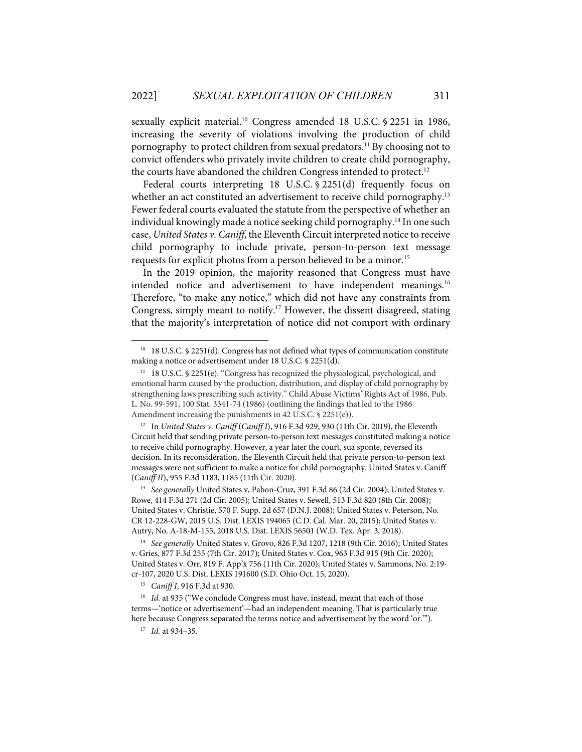sexually explicit material.<sup>10</sup> Congress amended 18 U.S.C. § 2251 in 1986, increasing the severity of violations involving the production of child pornography to protect children from sexual predators. <sup>11</sup> By choosing not to convict offenders who privately invite children to create child pornography, the courts have abandoned the children Congress intended to protect.<sup>12</sup>

Federal courts interpreting 18 U.S.C. § 2251(d) frequently focus on whether an act constituted an advertisement to receive child pornography.<sup>13</sup> Fewer federal courts evaluated the statute from the perspective of whether an individual knowingly made a notice seeking child pornography.<sup>14</sup> In one such case, *United States v. Caniff*, the Eleventh Circuit interpreted notice to receive child pornography to include private, person-to-person text message requests for explicit photos from a person believed to be a minor.<sup>15</sup>

In the 2019 opinion, the majority reasoned that Congress must have intended notice and advertisement to have independent meanings.16 Therefore, "to make any notice," which did not have any constraints from Congress, simply meant to notify.<sup>17</sup> However, the dissent disagreed, stating that the majority's interpretation of notice did not comport with ordinary

13 *See generally* United States v, Pabon-Cruz, 391 F.3d 86 (2d Cir. 2004); United States v. Rowe, 414 F.3d 271 (2d Cir. 2005); United States v. Sewell, 513 F.3d 820 (8th Cir. 2008); United States v. Christie, 570 F. Supp. 2d 657 (D.N.J. 2008); United States v. Peterson, No. CR 12-228-GW, 2015 U.S. Dist. LEXIS 194065 (C.D. Cal. Mar. 20, 2015); United States v. Autry, No. A-18-M-155, 2018 U.S. Dist. LEXIS 56501 (W.D. Tex. Apr. 3, 2018).

14 *See generally* United States v. Grovo, 826 F.3d 1207, 1218 (9th Cir. 2016); United States v. Gries, 877 F.3d 255 (7th Cir. 2017); United States v. Cox, 963 F.3d 915 (9th Cir. 2020); United States v. Orr, 819 F. App'x 756 (11th Cir. 2020); United States v. Sammons, No. 2:19 cr-107, 2020 U.S. Dist. LEXIS 191600 (S.D. Ohio Oct. 15, 2020).

15 *Caniff I*, 916 F.3d at 930.

<sup>16</sup> *Id.* at 935 ("We conclude Congress must have, instead, meant that each of those terms—'notice or advertisement'—had an independent meaning. That is particularly true here because Congress separated the terms notice and advertisement by the word 'or.'").

<sup>10 18</sup> U.S.C. § 2251(d). Congress has not defined what types of communication constitute making a notice or advertisement under 18 U.S.C. § 2251(d).

 $11$  18 U.S.C. § 2251(e). "Congress has recognized the physiological, psychological, and emotional harm caused by the production, distribution, and display of child pornography by strengthening laws prescribing such activity." Child Abuse Victims' Rights Act of 1986, Pub. L. No. 99-591, 100 Stat. 3341-74 (1986) (outlining the findings that led to the 1986 Amendment increasing the punishments in 42 U.S.C. § 2251(e)).

<sup>12</sup> In *United States v. Caniff* (*Caniff I*), 916 F.3d 929, 930 (11th Cir. 2019), the Eleventh Circuit held that sending private person-to-person text messages constituted making a notice to receive child pornography. However, a year later the court, sua sponte, reversed its decision. In its reconsideration, the Eleventh Circuit held that private person-to-person text messages were not sufficient to make a notice for child pornography. United States v. Caniff (*Caniff II*), 955 F.3d 1183, 1185 (11th Cir. 2020).

<sup>17</sup> *Id.* at 934–35.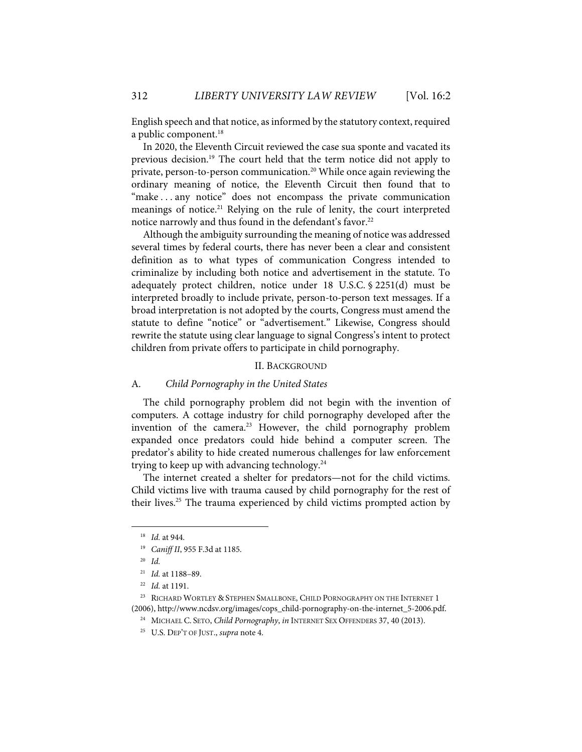English speech and that notice, as informed by the statutory context, required a public component.<sup>18</sup>

In 2020, the Eleventh Circuit reviewed the case sua sponte and vacated its previous decision. <sup>19</sup> The court held that the term notice did not apply to private, person-to-person communication.20 While once again reviewing the ordinary meaning of notice, the Eleventh Circuit then found that to "make . . . any notice" does not encompass the private communication meanings of notice.21 Relying on the rule of lenity, the court interpreted notice narrowly and thus found in the defendant's favor.<sup>22</sup>

Although the ambiguity surrounding the meaning of notice was addressed several times by federal courts, there has never been a clear and consistent definition as to what types of communication Congress intended to criminalize by including both notice and advertisement in the statute. To adequately protect children, notice under 18 U.S.C. § 2251(d) must be interpreted broadly to include private, person-to-person text messages. If a broad interpretation is not adopted by the courts, Congress must amend the statute to define "notice" or "advertisement." Likewise, Congress should rewrite the statute using clear language to signal Congress's intent to protect children from private offers to participate in child pornography.

#### II. BACKGROUND

#### A. *Child Pornography in the United States*

The child pornography problem did not begin with the invention of computers. A cottage industry for child pornography developed after the invention of the camera.<sup>23</sup> However, the child pornography problem expanded once predators could hide behind a computer screen. The predator's ability to hide created numerous challenges for law enforcement trying to keep up with advancing technology.<sup>24</sup>

The internet created a shelter for predators—not for the child victims. Child victims live with trauma caused by child pornography for the rest of their lives.25 The trauma experienced by child victims prompted action by

<sup>18</sup> *Id.* at 944.

<sup>19</sup> *Caniff II*, 955 F.3d at 1185.

<sup>20</sup> *Id.* 

<sup>21</sup> *Id.* at 1188–89.

<sup>22</sup> *Id.* at 1191.

<sup>&</sup>lt;sup>23</sup> RICHARD WORTLEY & STEPHEN SMALLBONE, CHILD PORNOGRAPHY ON THE INTERNET 1 (2006), http://www.ncdsv.org/images/cops\_child-pornography-on-the-internet\_5-2006.pdf.

<sup>&</sup>lt;sup>24</sup> MICHAEL C. SETO, *Child Pornography*, *in* INTERNET SEX OFFENDERS 37, 40 (2013).

<sup>25</sup> U.S. DEP'T OF JUST., *supra* note 4.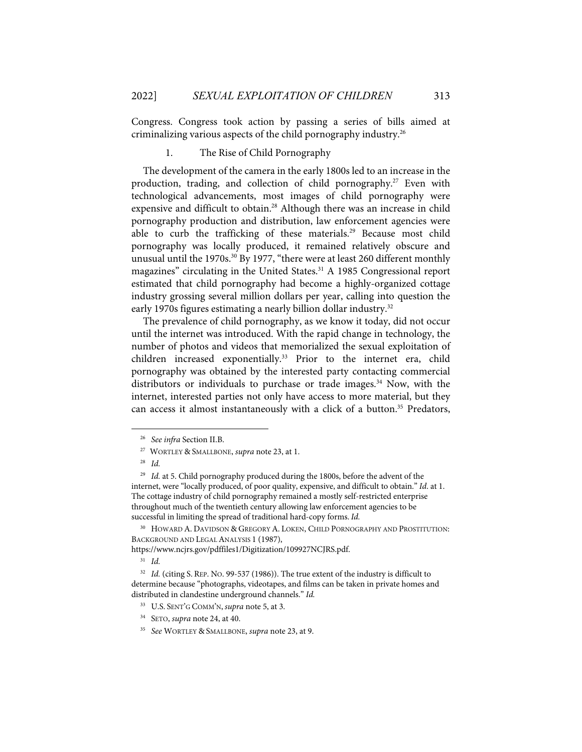Congress. Congress took action by passing a series of bills aimed at criminalizing various aspects of the child pornography industry.26

#### 1. The Rise of Child Pornography

The development of the camera in the early 1800s led to an increase in the production, trading, and collection of child pornography.<sup>27</sup> Even with technological advancements, most images of child pornography were expensive and difficult to obtain.<sup>28</sup> Although there was an increase in child pornography production and distribution, law enforcement agencies were able to curb the trafficking of these materials. <sup>29</sup> Because most child pornography was locally produced, it remained relatively obscure and unusual until the 1970s.<sup>30</sup> By 1977, "there were at least 260 different monthly magazines" circulating in the United States.<sup>31</sup> A 1985 Congressional report estimated that child pornography had become a highly-organized cottage industry grossing several million dollars per year, calling into question the early 1970s figures estimating a nearly billion dollar industry.<sup>32</sup>

The prevalence of child pornography, as we know it today, did not occur until the internet was introduced. With the rapid change in technology, the number of photos and videos that memorialized the sexual exploitation of children increased exponentially.<sup>33</sup> Prior to the internet era, child pornography was obtained by the interested party contacting commercial distributors or individuals to purchase or trade images.<sup>34</sup> Now, with the internet, interested parties not only have access to more material, but they can access it almost instantaneously with a click of a button.<sup>35</sup> Predators,

<sup>30</sup> HOWARD A. DAVIDSON & GREGORY A. LOKEN, CHILD PORNOGRAPHY AND PROSTITUTION: BACKGROUND AND LEGAL ANALYSIS 1 (1987),

https://www.ncjrs.gov/pdffiles1/Digitization/109927NCJRS.pdf.

31 *Id.*

<sup>26</sup> *See infra* Section II.B.

<sup>27</sup> WORTLEY & SMALLBONE, *supra* note 23, at 1.

<sup>28</sup> *Id.*

<sup>&</sup>lt;sup>29</sup> *Id.* at 5. Child pornography produced during the 1800s, before the advent of the internet, were "locally produced, of poor quality, expensive, and difficult to obtain." *Id*. at 1. The cottage industry of child pornography remained a mostly self-restricted enterprise throughout much of the twentieth century allowing law enforcement agencies to be successful in limiting the spread of traditional hard-copy forms. *Id.*

<sup>&</sup>lt;sup>32</sup> *Id.* (citing S. REP. NO. 99-537 (1986)). The true extent of the industry is difficult to determine because "photographs, videotapes, and films can be taken in private homes and distributed in clandestine underground channels." *Id.*

<sup>33</sup> U.S. SENT'G COMM'N, *supra* note 5, at 3.

<sup>34</sup> SETO, *supra* note 24, at 40.

<sup>35</sup> *See* WORTLEY & SMALLBONE, *supra* note 23, at 9.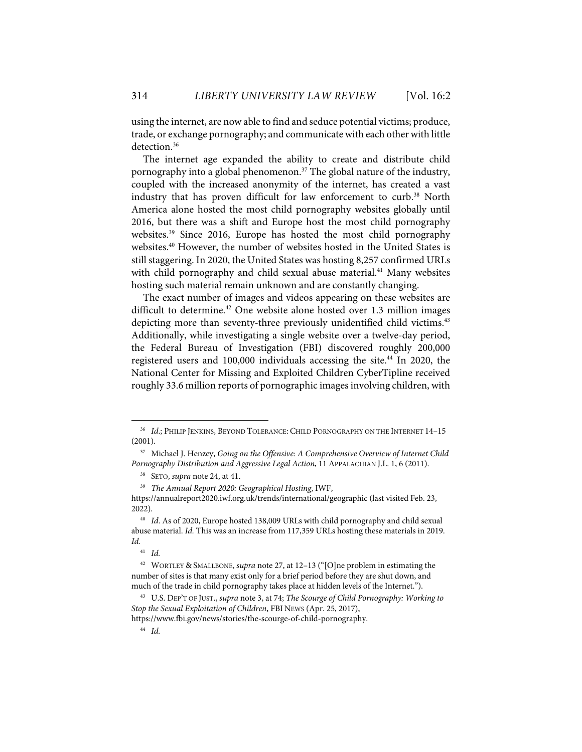using the internet, are now able to find and seduce potential victims; produce, trade, or exchange pornography; and communicate with each other with little detection. 36

The internet age expanded the ability to create and distribute child pornography into a global phenomenon.37 The global nature of the industry, coupled with the increased anonymity of the internet, has created a vast industry that has proven difficult for law enforcement to curb.<sup>38</sup> North America alone hosted the most child pornography websites globally until 2016, but there was a shift and Europe host the most child pornography websites.<sup>39</sup> Since 2016, Europe has hosted the most child pornography websites.<sup>40</sup> However, the number of websites hosted in the United States is still staggering. In 2020, the United States was hosting 8,257 confirmed URLs with child pornography and child sexual abuse material. <sup>41</sup> Many websites hosting such material remain unknown and are constantly changing.

The exact number of images and videos appearing on these websites are difficult to determine.<sup>42</sup> One website alone hosted over 1.3 million images depicting more than seventy-three previously unidentified child victims.<sup>43</sup> Additionally, while investigating a single website over a twelve-day period, the Federal Bureau of Investigation (FBI) discovered roughly 200,000 registered users and 100,000 individuals accessing the site.<sup>44</sup> In 2020, the National Center for Missing and Exploited Children CyberTipline received roughly 33.6 million reports of pornographic images involving children, with

<sup>36</sup> *Id*.; PHILIP JENKINS, BEYOND TOLERANCE: CHILD PORNOGRAPHY ON THE INTERNET 14–15 (2001).

<sup>37</sup> Michael J. Henzey, *Going on the Offensive: A Comprehensive Overview of Internet Child Pornography Distribution and Aggressive Legal Action*, 11 APPALACHIAN J.L. 1, 6 (2011).

<sup>38</sup> SETO, *supra* note 24, at 41.

<sup>39</sup> *The Annual Report 2020: Geographical Hosting*, IWF,

https://annualreport2020.iwf.org.uk/trends/international/geographic (last visited Feb. 23, 2022).

<sup>40</sup> *Id*. As of 2020, Europe hosted 138,009 URLs with child pornography and child sexual abuse material. *Id.* This was an increase from 117,359 URLs hosting these materials in 2019. *Id.* 

<sup>41</sup> *Id.*

<sup>42</sup> WORTLEY & SMALLBONE, *supra* note 27, at 12–13 ("[O]ne problem in estimating the number of sites is that many exist only for a brief period before they are shut down, and much of the trade in child pornography takes place at hidden levels of the Internet.").

<sup>43</sup> U.S. DEP'T OF JUST., *supra* note 3, at 74; *The Scourge of Child Pornography: Working to Stop the Sexual Exploitation of Children*, FBI NEWS (Apr. 25, 2017),

https://www.fbi.gov/news/stories/the-scourge-of-child-pornography.

<sup>44</sup> *Id.*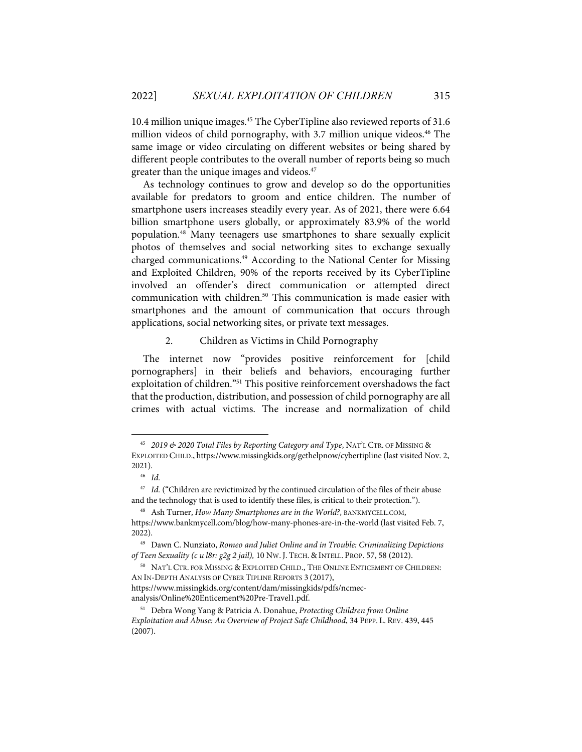10.4 million unique images.45 The CyberTipline also reviewed reports of 31.6 million videos of child pornography, with 3.7 million unique videos. <sup>46</sup> The same image or video circulating on different websites or being shared by different people contributes to the overall number of reports being so much greater than the unique images and videos.<sup>47</sup>

As technology continues to grow and develop so do the opportunities available for predators to groom and entice children. The number of smartphone users increases steadily every year. As of 2021, there were 6.64 billion smartphone users globally, or approximately 83.9% of the world population.48 Many teenagers use smartphones to share sexually explicit photos of themselves and social networking sites to exchange sexually charged communications.<sup>49</sup> According to the National Center for Missing and Exploited Children, 90% of the reports received by its CyberTipline involved an offender's direct communication or attempted direct communication with children.<sup>50</sup> This communication is made easier with smartphones and the amount of communication that occurs through applications, social networking sites, or private text messages.

#### 2. Children as Victims in Child Pornography

The internet now "provides positive reinforcement for [child pornographers] in their beliefs and behaviors, encouraging further exploitation of children."51 This positive reinforcement overshadows the fact that the production, distribution, and possession of child pornography are all crimes with actual victims. The increase and normalization of child

<sup>45</sup> *2019 & 2020 Total Files by Reporting Category and Type*, NAT'L CTR. OF MISSING & EXPLOITED CHILD., https://www.missingkids.org/gethelpnow/cybertipline (last visited Nov. 2, 2021).

<sup>46</sup> *Id.* 

<sup>&</sup>lt;sup>47</sup> *Id.* ("Children are revictimized by the continued circulation of the files of their abuse and the technology that is used to identify these files, is critical to their protection.").

<sup>48</sup> Ash Turner, *How Many Smartphones are in the World?*, BANKMYCELL.COM, https://www.bankmycell.com/blog/how-many-phones-are-in-the-world (last visited Feb. 7, 2022).

<sup>49</sup> Dawn C. Nunziato, *Romeo and Juliet Online and in Trouble: Criminalizing Depictions of Teen Sexuality (c u l8r: g2g 2 jail),* 10 NW. J. TECH. & INTELL. PROP. 57, 58 (2012).

<sup>50</sup> NAT'L CTR. FOR MISSING & EXPLOITED CHILD., THE ONLINE ENTICEMENT OF CHILDREN: AN IN-DEPTH ANALYSIS OF CYBER TIPLINE REPORTS 3 (2017), https://www.missingkids.org/content/dam/missingkids/pdfs/ncmec-

analysis/Online%20Enticement%20Pre-Travel1.pdf.

<sup>51</sup> Debra Wong Yang & Patricia A. Donahue, *Protecting Children from Online Exploitation and Abuse: An Overview of Project Safe Childhood*, 34 PEPP. L. REV. 439, 445 (2007).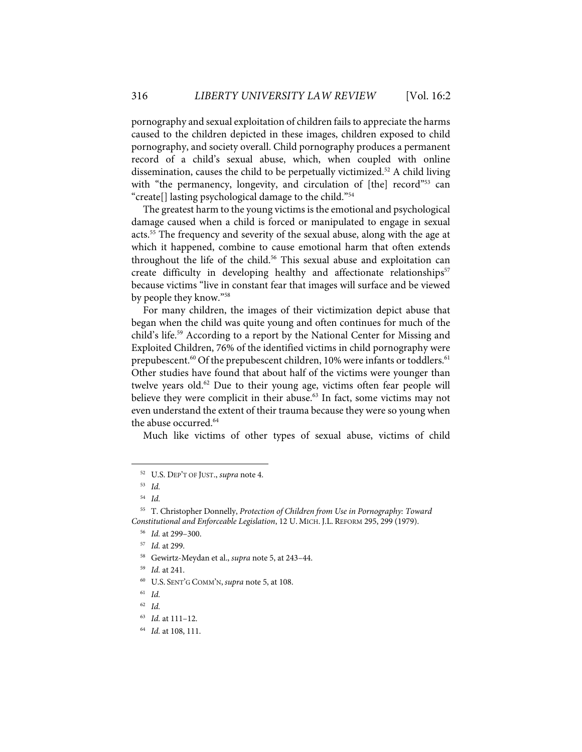pornography and sexual exploitation of children fails to appreciate the harms caused to the children depicted in these images, children exposed to child pornography, and society overall. Child pornography produces a permanent record of a child's sexual abuse, which, when coupled with online dissemination, causes the child to be perpetually victimized.52 A child living with "the permanency, longevity, and circulation of [the] record<sup>"53</sup> can "create[] lasting psychological damage to the child."54

The greatest harm to the young victims is the emotional and psychological damage caused when a child is forced or manipulated to engage in sexual acts.55 The frequency and severity of the sexual abuse, along with the age at which it happened, combine to cause emotional harm that often extends throughout the life of the child. <sup>56</sup> This sexual abuse and exploitation can create difficulty in developing healthy and affectionate relationships<sup>57</sup> because victims "live in constant fear that images will surface and be viewed by people they know."58

For many children, the images of their victimization depict abuse that began when the child was quite young and often continues for much of the child's life. <sup>59</sup> According to a report by the National Center for Missing and Exploited Children, 76% of the identified victims in child pornography were prepubescent.<sup>60</sup> Of the prepubescent children, 10% were infants or toddlers.<sup>61</sup> Other studies have found that about half of the victims were younger than twelve years old. $62$  Due to their young age, victims often fear people will believe they were complicit in their abuse.<sup>63</sup> In fact, some victims may not even understand the extent of their trauma because they were so young when the abuse occurred.<sup>64</sup>

Much like victims of other types of sexual abuse, victims of child

<sup>52</sup> U.S. DEP'T OF JUST., *supra* note 4.

<sup>53</sup> *Id.*

<sup>54</sup> *Id.*

<sup>55</sup> T. Christopher Donnelly, *Protection of Children from Use in Pornography: Toward Constitutional and Enforceable Legislation*, 12 U. MICH. J.L. REFORM 295, 299 (1979).

<sup>56</sup> *Id.* at 299–300.

<sup>57</sup> *Id.* at 299.

<sup>58</sup> Gewirtz-Meydan et al., *supra* note 5, at 243–44.

<sup>59</sup> *Id.* at 241.

<sup>60</sup> U.S. SENT'G COMM'N, *supra* note 5, at 108.

<sup>61</sup> *Id.*

<sup>62</sup> *Id.*

<sup>63</sup> *Id.* at 111–12.

<sup>64</sup> *Id.* at 108, 111.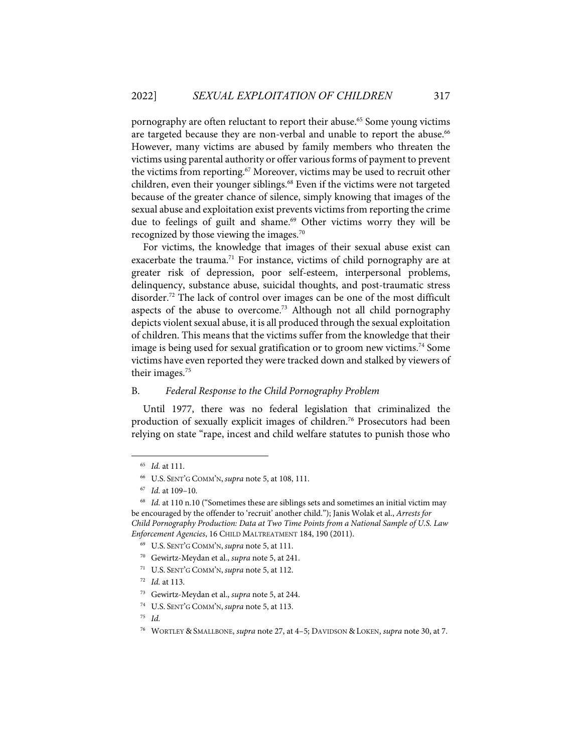pornography are often reluctant to report their abuse.<sup>65</sup> Some young victims are targeted because they are non-verbal and unable to report the abuse.<sup>66</sup> However, many victims are abused by family members who threaten the victims using parental authority or offer various forms of payment to prevent the victims from reporting. <sup>67</sup> Moreover, victims may be used to recruit other children, even their younger siblings.<sup>68</sup> Even if the victims were not targeted because of the greater chance of silence, simply knowing that images of the sexual abuse and exploitation exist prevents victims from reporting the crime due to feelings of guilt and shame.<sup>69</sup> Other victims worry they will be recognized by those viewing the images.<sup>70</sup>

For victims, the knowledge that images of their sexual abuse exist can exacerbate the trauma.<sup>71</sup> For instance, victims of child pornography are at greater risk of depression, poor self-esteem, interpersonal problems, delinquency, substance abuse, suicidal thoughts, and post-traumatic stress disorder.<sup>72</sup> The lack of control over images can be one of the most difficult aspects of the abuse to overcome.<sup>73</sup> Although not all child pornography depicts violent sexual abuse, it is all produced through the sexual exploitation of children. This means that the victims suffer from the knowledge that their image is being used for sexual gratification or to groom new victims. <sup>74</sup> Some victims have even reported they were tracked down and stalked by viewers of their images. $75$ 

#### B. *Federal Response to the Child Pornography Problem*

Until 1977, there was no federal legislation that criminalized the production of sexually explicit images of children.<sup>76</sup> Prosecutors had been relying on state "rape, incest and child welfare statutes to punish those who

<sup>65</sup> *Id.* at 111.

<sup>66</sup> U.S. SENT'G COMM'N, *supra* note 5, at 108, 111.

<sup>67</sup> *Id.* at 109–10.

<sup>68</sup> *Id.* at 110 n.10 ("Sometimes these are siblings sets and sometimes an initial victim may be encouraged by the offender to 'recruit' another child."); Janis Wolak et al., *Arrests for Child Pornography Production: Data at Two Time Points from a National Sample of U.S. Law Enforcement Agencies*, 16 CHILD MALTREATMENT 184, 190 (2011).

<sup>69</sup> U.S. SENT'G COMM'N, *supra* note 5, at 111.

<sup>70</sup> Gewirtz-Meydan et al., *supra* note 5, at 241.

<sup>71</sup> U.S. SENT'G COMM'N, *supra* note 5, at 112.

<sup>72</sup> *Id.* at 113.

<sup>73</sup> Gewirtz-Meydan et al., *supra* note 5, at 244.

<sup>74</sup> U.S. SENT'G COMM'N, *supra* note 5, at 113.

<sup>75</sup> *Id.*

<sup>76</sup> WORTLEY & SMALLBONE, *supra* note 27, at 4–5; DAVIDSON & LOKEN, *supra* note 30, at 7.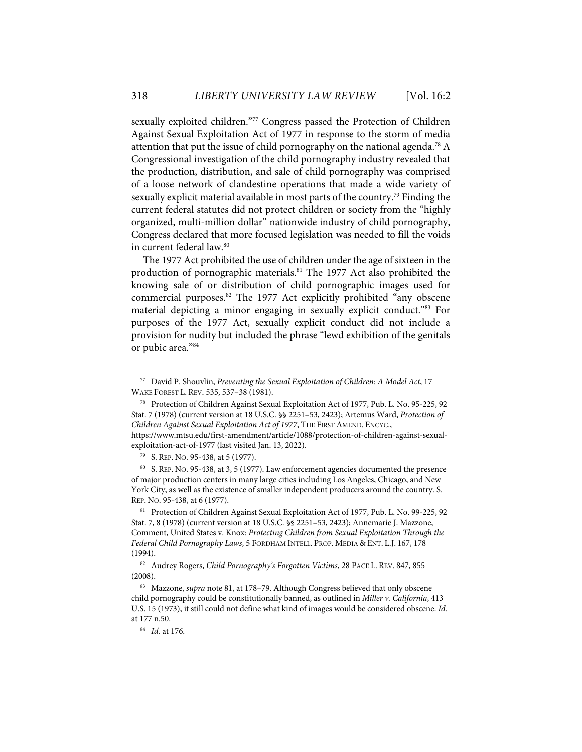sexually exploited children."77 Congress passed the Protection of Children Against Sexual Exploitation Act of 1977 in response to the storm of media attention that put the issue of child pornography on the national agenda.<sup>78</sup> A Congressional investigation of the child pornography industry revealed that the production, distribution, and sale of child pornography was comprised of a loose network of clandestine operations that made a wide variety of sexually explicit material available in most parts of the country.<sup>79</sup> Finding the current federal statutes did not protect children or society from the "highly organized, multi-million dollar" nationwide industry of child pornography, Congress declared that more focused legislation was needed to fill the voids in current federal law.<sup>80</sup>

The 1977 Act prohibited the use of children under the age of sixteen in the production of pornographic materials.<sup>81</sup> The 1977 Act also prohibited the knowing sale of or distribution of child pornographic images used for commercial purposes.<sup>82</sup> The 1977 Act explicitly prohibited "any obscene material depicting a minor engaging in sexually explicit conduct."83 For purposes of the 1977 Act, sexually explicit conduct did not include a provision for nudity but included the phrase "lewd exhibition of the genitals or pubic area."84

<sup>77</sup> David P. Shouvlin, *Preventing the Sexual Exploitation of Children: A Model Act*, 17 WAKE FOREST L. REV. 535, 537–38 (1981).

<sup>78</sup> Protection of Children Against Sexual Exploitation Act of 1977, Pub. L. No. 95-225, 92 Stat. 7 (1978) (current version at 18 U.S.C. §§ 2251–53, 2423); Artemus Ward, *Protection of Children Against Sexual Exploitation Act of 1977*, THE FIRST AMEND. ENCYC., https://www.mtsu.edu/first-amendment/article/1088/protection-of-children-against-sexualexploitation-act-of-1977 (last visited Jan. 13, 2022).

<sup>79</sup> S. REP. NO. 95-438, at 5 (1977).

<sup>80</sup> S. REP. NO. 95-438, at 3, 5 (1977). Law enforcement agencies documented the presence of major production centers in many large cities including Los Angeles, Chicago, and New York City, as well as the existence of smaller independent producers around the country. S. REP. NO. 95-438, at 6 (1977).

<sup>81</sup> Protection of Children Against Sexual Exploitation Act of 1977, Pub. L. No. 99-225, 92 Stat. 7, 8 (1978) (current version at 18 U.S.C. §§ 2251–53, 2423); Annemarie J. Mazzone, Comment, United States v. Knox*: Protecting Children from Sexual Exploitation Through the Federal Child Pornography Laws*, 5 FORDHAM INTELL. PROP. MEDIA & ENT. L.J. 167, 178 (1994).

<sup>82</sup> Audrey Rogers, *Child Pornography's Forgotten Victims*, 28 PACE L. REV. 847, 855 (2008).

<sup>83</sup> Mazzone, *supra* note 81, at 178–79. Although Congress believed that only obscene child pornography could be constitutionally banned, as outlined in *Miller v. California*, 413 U.S. 15 (1973), it still could not define what kind of images would be considered obscene. *Id.* at 177 n.50.

<sup>84</sup> *Id.* at 176.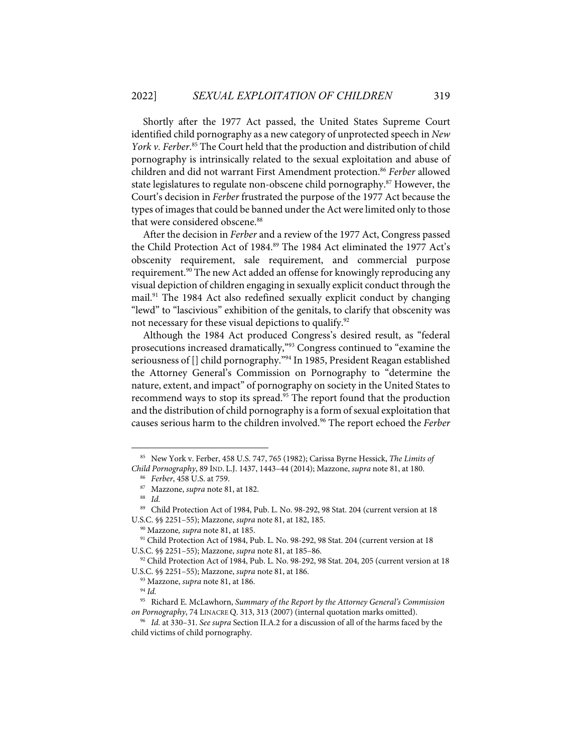Shortly after the 1977 Act passed, the United States Supreme Court identified child pornography as a new category of unprotected speech in *New*  York v. Ferber.<sup>85</sup> The Court held that the production and distribution of child pornography is intrinsically related to the sexual exploitation and abuse of children and did not warrant First Amendment protection.<sup>86</sup> Ferber allowed state legislatures to regulate non-obscene child pornography.<sup>87</sup> However, the Court's decision in *Ferber* frustrated the purpose of the 1977 Act because the types of images that could be banned under the Act were limited only to those that were considered obscene.<sup>88</sup>

After the decision in *Ferber* and a review of the 1977 Act, Congress passed the Child Protection Act of 1984.<sup>89</sup> The 1984 Act eliminated the 1977 Act's obscenity requirement, sale requirement, and commercial purpose requirement. <sup>90</sup> The new Act added an offense for knowingly reproducing any visual depiction of children engaging in sexually explicit conduct through the mail.<sup>91</sup> The 1984 Act also redefined sexually explicit conduct by changing "lewd" to "lascivious" exhibition of the genitals, to clarify that obscenity was not necessary for these visual depictions to qualify.<sup>92</sup>

Although the 1984 Act produced Congress's desired result, as "federal prosecutions increased dramatically,"93 Congress continued to "examine the seriousness of [] child pornography."<sup>94</sup> In 1985, President Reagan established the Attorney General's Commission on Pornography to "determine the nature, extent, and impact" of pornography on society in the United States to recommend ways to stop its spread.<sup>95</sup> The report found that the production and the distribution of child pornography is a form of sexual exploitation that causes serious harm to the children involved.96 The report echoed the *Ferber*

<sup>85</sup> New York v. Ferber, 458 U.S. 747, 765 (1982); Carissa Byrne Hessick, *The Limits of Child Pornography*, 89 IND. L.J. 1437, 1443–44 (2014); Mazzone, *supra* note 81, at 180. 86 *Ferber*, 458 U.S. at 759.

<sup>87</sup> Mazzone, *supra* note 81, at 182.

<sup>88</sup> *Id.*

<sup>89</sup> Child Protection Act of 1984, Pub. L. No. 98-292, 98 Stat. 204 (current version at 18 U.S.C. §§ 2251–55); Mazzone, *supra* note 81, at 182, 185.

<sup>90</sup> Mazzone*, supra* note 81, at 185.

<sup>&</sup>lt;sup>91</sup> Child Protection Act of 1984, Pub. L. No. 98-292, 98 Stat. 204 (current version at 18 U.S.C. §§ 2251–55); Mazzone, *supra* note 81, at 185–86.

<sup>92</sup> Child Protection Act of 1984, Pub. L. No. 98-292, 98 Stat. 204, 205 (current version at 18 U.S.C. §§ 2251–55); Mazzone, *supra* note 81, at 186.

<sup>93</sup> Mazzone, *supra* note 81, at 186.

<sup>94</sup> *Id.*

<sup>95</sup> Richard E. McLawhorn, *Summary of the Report by the Attorney General's Commission on Pornography*, 74 LINACRE Q. 313, 313 (2007) (internal quotation marks omitted). 96 *Id.* at 330–31. *See supra* Section II.A.2 for a discussion of all of the harms faced by the

child victims of child pornography.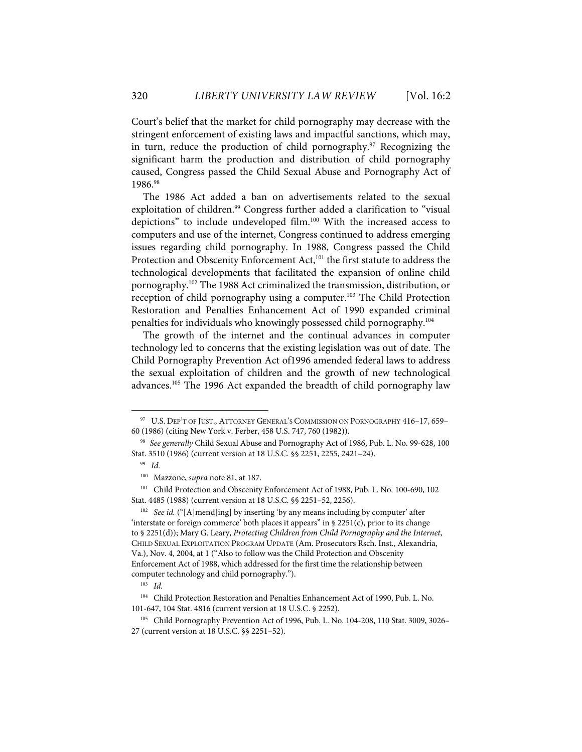Court's belief that the market for child pornography may decrease with the stringent enforcement of existing laws and impactful sanctions, which may, in turn, reduce the production of child pornography. $97$  Recognizing the significant harm the production and distribution of child pornography caused, Congress passed the Child Sexual Abuse and Pornography Act of 1986.98

The 1986 Act added a ban on advertisements related to the sexual exploitation of children.<sup>99</sup> Congress further added a clarification to "visual depictions" to include undeveloped film.<sup>100</sup> With the increased access to computers and use of the internet, Congress continued to address emerging issues regarding child pornography. In 1988, Congress passed the Child Protection and Obscenity Enforcement Act,<sup>101</sup> the first statute to address the technological developments that facilitated the expansion of online child pornography.102 The 1988 Act criminalized the transmission, distribution, or reception of child pornography using a computer.<sup>103</sup> The Child Protection Restoration and Penalties Enhancement Act of 1990 expanded criminal penalties for individuals who knowingly possessed child pornography.104

The growth of the internet and the continual advances in computer technology led to concerns that the existing legislation was out of date. The Child Pornography Prevention Act of1996 amended federal laws to address the sexual exploitation of children and the growth of new technological advances.105 The 1996 Act expanded the breadth of child pornography law

<sup>&</sup>lt;sup>97</sup> U.S. DEP'T OF JUST., ATTORNEY GENERAL'S COMMISSION ON PORNOGRAPHY 416-17, 659-60 (1986) (citing New York v. Ferber, 458 U.S. 747, 760 (1982)).

<sup>98</sup> *See generally* Child Sexual Abuse and Pornography Act of 1986, Pub. L. No. 99-628, 100 Stat. 3510 (1986) (current version at 18 U.S.C. §§ 2251, 2255, 2421–24).

<sup>99</sup> *Id.*

<sup>100</sup> Mazzone, *supra* note 81, at 187.

<sup>101</sup> Child Protection and Obscenity Enforcement Act of 1988, Pub. L. No. 100-690, 102 Stat. 4485 (1988) (current version at 18 U.S.C. §§ 2251–52, 2256).

<sup>102</sup> *See id.* ("[A]mend[ing] by inserting 'by any means including by computer' after 'interstate or foreign commerce' both places it appears" in § 2251(c), prior to its change to § 2251(d)); Mary G. Leary, *Protecting Children from Child Pornography and the Internet*, CHILD SEXUAL EXPLOITATION PROGRAM UPDATE (Am. Prosecutors Rsch. Inst., Alexandria, Va.), Nov. 4, 2004, at 1 ("Also to follow was the Child Protection and Obscenity Enforcement Act of 1988, which addressed for the first time the relationship between computer technology and child pornography.").

<sup>103</sup> *Id.*

<sup>104</sup> Child Protection Restoration and Penalties Enhancement Act of 1990, Pub. L. No. 101-647, 104 Stat. 4816 (current version at 18 U.S.C. § 2252).

<sup>&</sup>lt;sup>105</sup> Child Pornography Prevention Act of 1996, Pub. L. No. 104-208, 110 Stat. 3009, 3026-27 (current version at 18 U.S.C. §§ 2251–52).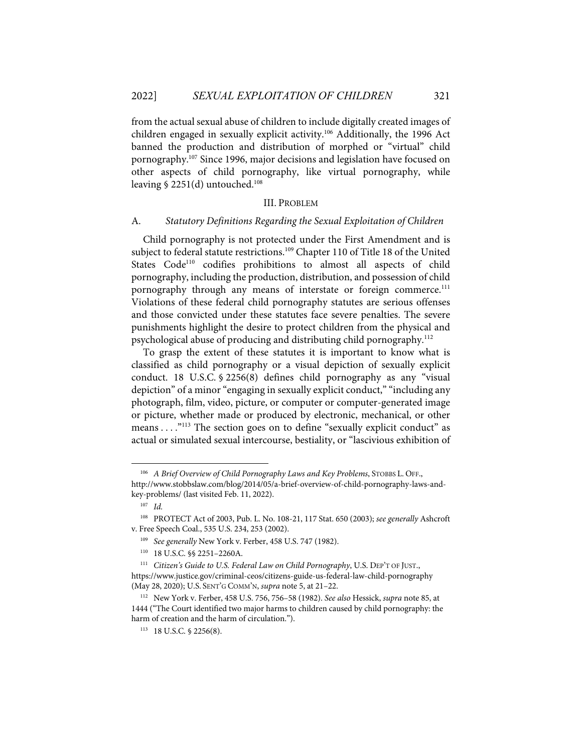from the actual sexual abuse of children to include digitally created images of children engaged in sexually explicit activity.106 Additionally, the 1996 Act banned the production and distribution of morphed or "virtual" child pornography.107 Since 1996, major decisions and legislation have focused on other aspects of child pornography, like virtual pornography, while leaving  $$ 2251(d)$  untouched.<sup>108</sup>

#### III. PROBLEM

#### A. *Statutory Definitions Regarding the Sexual Exploitation of Children*

Child pornography is not protected under the First Amendment and is subject to federal statute restrictions. <sup>109</sup> Chapter 110 of Title 18 of the United States Code<sup>110</sup> codifies prohibitions to almost all aspects of child pornography, including the production, distribution, and possession of child pornography through any means of interstate or foreign commerce.<sup>111</sup> Violations of these federal child pornography statutes are serious offenses and those convicted under these statutes face severe penalties. The severe punishments highlight the desire to protect children from the physical and psychological abuse of producing and distributing child pornography.112

To grasp the extent of these statutes it is important to know what is classified as child pornography or a visual depiction of sexually explicit conduct. 18 U.S.C. § 2256(8) defines child pornography as any "visual depiction" of a minor "engaging in sexually explicit conduct," "including any photograph, film, video, picture, or computer or computer-generated image or picture, whether made or produced by electronic, mechanical, or other means . . . . "113 The section goes on to define "sexually explicit conduct" as actual or simulated sexual intercourse, bestiality, or "lascivious exhibition of

<sup>&</sup>lt;sup>106</sup> A Brief Overview of Child Pornography Laws and Key Problems, STOBBS L. OFF., http://www.stobbslaw.com/blog/2014/05/a-brief-overview-of-child-pornography-laws-andkey-problems/ (last visited Feb. 11, 2022).

<sup>107</sup> *Id.*

<sup>108</sup> PROTECT Act of 2003, Pub. L. No. 108-21, 117 Stat. 650 (2003); *see generally* Ashcroft v. Free Speech Coal., 535 U.S. 234, 253 (2002).

<sup>109</sup> *See generally* New York v. Ferber, 458 U.S. 747 (1982).

<sup>110 18</sup> U.S.C. §§ 2251–2260A.

<sup>111</sup> *Citizen's Guide to U.S. Federal Law on Child Pornography*, U.S. DEP'T OF JUST., https://www.justice.gov/criminal-ceos/citizens-guide-us-federal-law-child-pornography (May 28, 2020); U.S. SENT'G COMM'N, *supra* note 5, at 21–22.

<sup>112</sup> New York v. Ferber, 458 U.S. 756, 756–58 (1982). *See also* Hessick, *supra* note 85, at 1444 ("The Court identified two major harms to children caused by child pornography: the harm of creation and the harm of circulation.").

<sup>113 18</sup> U.S.C. § 2256(8).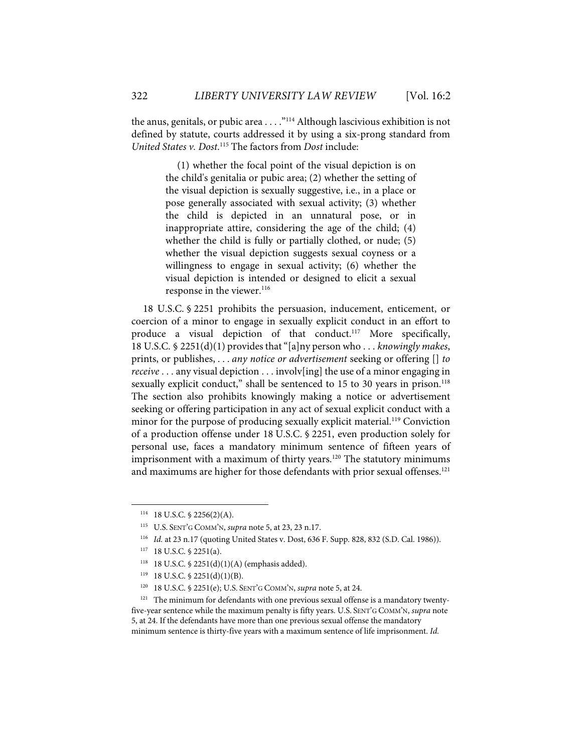the anus, genitals, or pubic area  $\dots$ ."<sup>114</sup> Although lascivious exhibition is not defined by statute, courts addressed it by using a six-prong standard from *United States v. Dost*. <sup>115</sup> The factors from *Dost* include:

> (1) whether the focal point of the visual depiction is on the child's genitalia or pubic area; (2) whether the setting of the visual depiction is sexually suggestive, i.e., in a place or pose generally associated with sexual activity; (3) whether the child is depicted in an unnatural pose, or in inappropriate attire, considering the age of the child; (4) whether the child is fully or partially clothed, or nude; (5) whether the visual depiction suggests sexual coyness or a willingness to engage in sexual activity; (6) whether the visual depiction is intended or designed to elicit a sexual response in the viewer. 116

18 U.S.C. § 2251 prohibits the persuasion, inducement, enticement, or coercion of a minor to engage in sexually explicit conduct in an effort to produce a visual depiction of that conduct.<sup>117</sup> More specifically, 18 U.S.C. § 2251(d)(1) provides that "[a]ny person who . . . *knowingly makes*, prints, or publishes, . . . *any notice or advertisement* seeking or offering [] *to receive* . . . any visual depiction . . . involv[ing] the use of a minor engaging in sexually explicit conduct," shall be sentenced to 15 to 30 years in prison.<sup>118</sup> The section also prohibits knowingly making a notice or advertisement seeking or offering participation in any act of sexual explicit conduct with a minor for the purpose of producing sexually explicit material.<sup>119</sup> Conviction of a production offense under 18 U.S.C. § 2251, even production solely for personal use, faces a mandatory minimum sentence of fifteen years of imprisonment with a maximum of thirty years.<sup>120</sup> The statutory minimums and maximums are higher for those defendants with prior sexual offenses. 121

 $114$  18 U.S.C. § 2256(2)(A).

<sup>115</sup> U.S. SENT'G COMM'N, *supra* note 5, at 23, 23 n.17.

<sup>116</sup> *Id.* at 23 n.17 (quoting United States v. Dost, 636 F. Supp. 828, 832 (S.D. Cal. 1986)).

<sup>117 18</sup> U.S.C. § 2251(a).

<sup>118 18</sup> U.S.C. § 2251(d)(1)(A) (emphasis added).

 $119$  18 U.S.C. § 2251(d)(1)(B).

<sup>120 18</sup> U.S.C. § 2251(e); U.S. SENT'G COMM'N, *supra* note 5, at 24.

<sup>&</sup>lt;sup>121</sup> The minimum for defendants with one previous sexual offense is a mandatory twentyfive-year sentence while the maximum penalty is fifty years. U.S. SENT'G COMM'N, *supra* note 5, at 24. If the defendants have more than one previous sexual offense the mandatory minimum sentence is thirty-five years with a maximum sentence of life imprisonment. *Id.*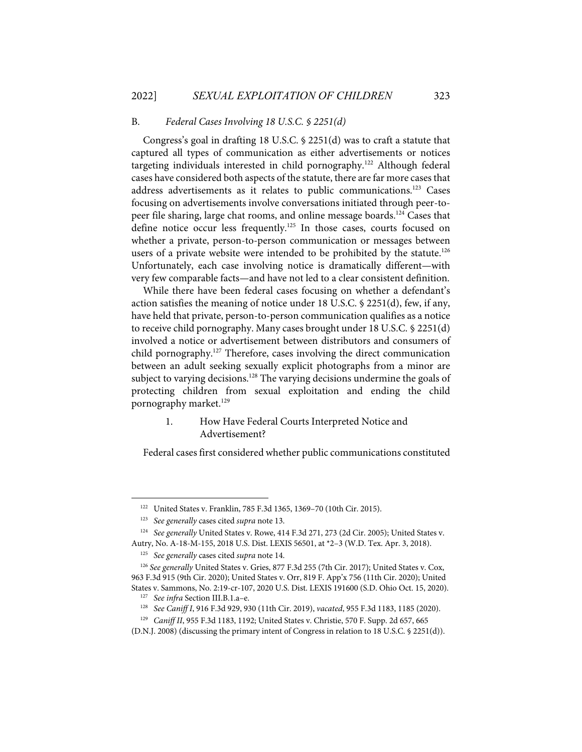#### B. *Federal Cases Involving 18 U.S.C. § 2251(d)*

Congress's goal in drafting 18 U.S.C. § 2251(d) was to craft a statute that captured all types of communication as either advertisements or notices targeting individuals interested in child pornography.<sup>122</sup> Although federal cases have considered both aspects of the statute, there are far more cases that address advertisements as it relates to public communications.123 Cases focusing on advertisements involve conversations initiated through peer-topeer file sharing, large chat rooms, and online message boards.124 Cases that define notice occur less frequently.<sup>125</sup> In those cases, courts focused on whether a private, person-to-person communication or messages between users of a private website were intended to be prohibited by the statute.<sup>126</sup> Unfortunately, each case involving notice is dramatically different—with very few comparable facts—and have not led to a clear consistent definition.

While there have been federal cases focusing on whether a defendant's action satisfies the meaning of notice under 18 U.S.C. § 2251(d), few, if any, have held that private, person-to-person communication qualifies as a notice to receive child pornography. Many cases brought under 18 U.S.C. § 2251(d) involved a notice or advertisement between distributors and consumers of child pornography.<sup>127</sup> Therefore, cases involving the direct communication between an adult seeking sexually explicit photographs from a minor are subject to varying decisions.<sup>128</sup> The varying decisions undermine the goals of protecting children from sexual exploitation and ending the child pornography market.<sup>129</sup>

## 1. How Have Federal Courts Interpreted Notice and Advertisement?

Federal cases first considered whether public communications constituted

<sup>122</sup> United States v. Franklin, 785 F.3d 1365, 1369–70 (10th Cir. 2015).

<sup>123</sup> *See generally* cases cited *supra* note 13.

<sup>124</sup> *See generally* United States v. Rowe, 414 F.3d 271, 273 (2d Cir. 2005); United States v. Autry, No. A-18-M-155, 2018 U.S. Dist. LEXIS 56501, at \*2–3 (W.D. Tex. Apr. 3, 2018).

<sup>125</sup> *See generally* cases cited *supra* note 14.

<sup>126</sup> *See generally* United States v. Gries, 877 F.3d 255 (7th Cir. 2017); United States v. Cox, 963 F.3d 915 (9th Cir. 2020); United States v. Orr, 819 F. App'x 756 (11th Cir. 2020); United States v. Sammons, No. 2:19-cr-107, 2020 U.S. Dist. LEXIS 191600 (S.D. Ohio Oct. 15, 2020).

<sup>127</sup> *See infra* Section III.B.1.a–e.

<sup>128</sup> *See Caniff I*, 916 F.3d 929, 930 (11th Cir. 2019), *vacated*, 955 F.3d 1183, 1185 (2020).

<sup>129</sup> *Caniff II*, 955 F.3d 1183, 1192; United States v. Christie, 570 F. Supp. 2d 657, 665

<sup>(</sup>D.N.J. 2008) (discussing the primary intent of Congress in relation to 18 U.S.C. § 2251(d)).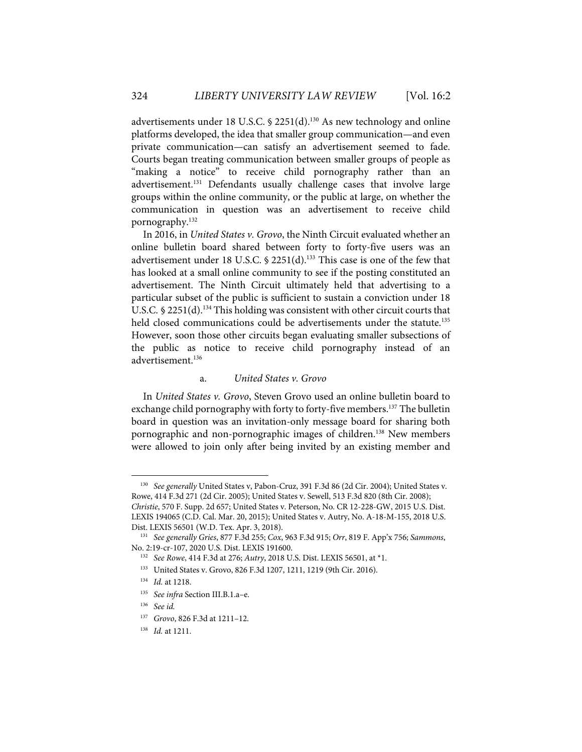advertisements under 18 U.S.C. § 2251(d).<sup>130</sup> As new technology and online platforms developed, the idea that smaller group communication—and even private communication—can satisfy an advertisement seemed to fade. Courts began treating communication between smaller groups of people as "making a notice" to receive child pornography rather than an advertisement.<sup>131</sup> Defendants usually challenge cases that involve large groups within the online community, or the public at large, on whether the communication in question was an advertisement to receive child pornography.132

In 2016, in *United States v. Grovo*, the Ninth Circuit evaluated whether an online bulletin board shared between forty to forty-five users was an advertisement under 18 U.S.C. § 2251(d).<sup>133</sup> This case is one of the few that has looked at a small online community to see if the posting constituted an advertisement. The Ninth Circuit ultimately held that advertising to a particular subset of the public is sufficient to sustain a conviction under 18 U.S.C. § 2251(d).<sup>134</sup> This holding was consistent with other circuit courts that held closed communications could be advertisements under the statute.<sup>135</sup> However, soon those other circuits began evaluating smaller subsections of the public as notice to receive child pornography instead of an advertisement<sup>136</sup>

#### a. *United States v. Grovo*

In *United States v. Grovo*, Steven Grovo used an online bulletin board to exchange child pornography with forty to forty-five members.<sup>137</sup> The bulletin board in question was an invitation-only message board for sharing both pornographic and non-pornographic images of children.<sup>138</sup> New members were allowed to join only after being invited by an existing member and

<sup>130</sup> *See generally* United States v, Pabon-Cruz, 391 F.3d 86 (2d Cir. 2004); United States v. Rowe, 414 F.3d 271 (2d Cir. 2005); United States v. Sewell, 513 F.3d 820 (8th Cir. 2008); *Christie*, 570 F. Supp. 2d 657; United States v. Peterson, No. CR 12-228-GW, 2015 U.S. Dist. LEXIS 194065 (C.D. Cal. Mar. 20, 2015); United States v. Autry, No. A-18-M-155, 2018 U.S.

Dist. LEXIS 56501 (W.D. Tex. Apr. 3, 2018). 131 *See generally Gries*, 877 F.3d 255; *Cox*, 963 F.3d 915; *Orr*, 819 F. App'x 756; *Sammons*, No. 2:19-cr-107, 2020 U.S. Dist. LEXIS 191600.

<sup>132</sup> *See Rowe*, 414 F.3d at 276; *Autry*, 2018 U.S. Dist. LEXIS 56501, at \*1.

<sup>133</sup> United States v. Grovo, 826 F.3d 1207, 1211, 1219 (9th Cir. 2016).

<sup>134</sup> *Id.* at 1218.

<sup>135</sup> *See infra* Section III.B.1.a–e.

<sup>136</sup> *See id.*

<sup>137</sup> *Grovo*, 826 F.3d at 1211–12.

<sup>138</sup> *Id.* at 1211.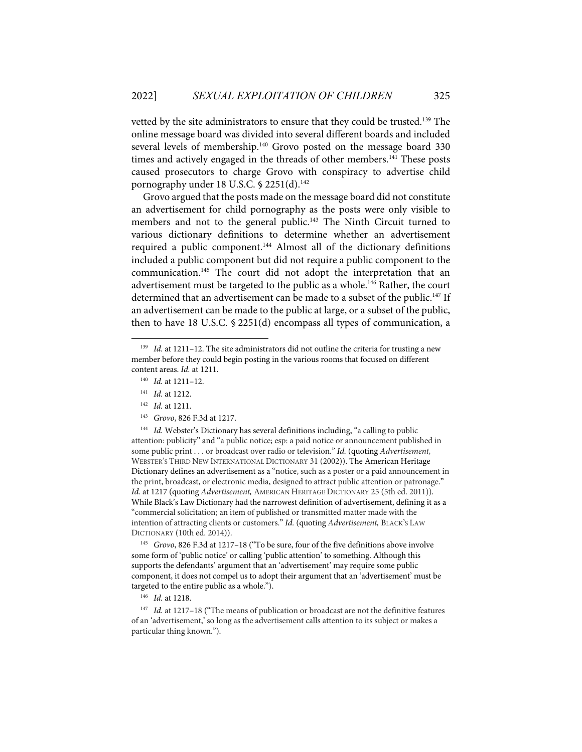vetted by the site administrators to ensure that they could be trusted.<sup>139</sup> The online message board was divided into several different boards and included several levels of membership.<sup>140</sup> Grovo posted on the message board 330 times and actively engaged in the threads of other members.<sup>141</sup> These posts caused prosecutors to charge Grovo with conspiracy to advertise child pornography under 18 U.S.C. § 2251(d).<sup>142</sup>

Grovo argued that the posts made on the message board did not constitute an advertisement for child pornography as the posts were only visible to members and not to the general public.<sup>143</sup> The Ninth Circuit turned to various dictionary definitions to determine whether an advertisement required a public component.144 Almost all of the dictionary definitions included a public component but did not require a public component to the communication.145 The court did not adopt the interpretation that an advertisement must be targeted to the public as a whole.<sup>146</sup> Rather, the court determined that an advertisement can be made to a subset of the public.<sup>147</sup> If an advertisement can be made to the public at large, or a subset of the public, then to have 18 U.S.C. § 2251(d) encompass all types of communication, a

<sup>144</sup> *Id.* Webster's Dictionary has several definitions including, "a calling to public attention: publicity" and "a public notice; esp: a paid notice or announcement published in some public print . . . or broadcast over radio or television." *Id.* (quoting *Advertisement,* WEBSTER'S THIRD NEW INTERNATIONAL DICTIONARY 31 (2002)). The American Heritage Dictionary defines an advertisement as a "notice, such as a poster or a paid announcement in the print, broadcast, or electronic media, designed to attract public attention or patronage." *Id.* at 1217 (quoting *Advertisement,* AMERICAN HERITAGE DICTIONARY 25 (5th ed. 2011)). While Black's Law Dictionary had the narrowest definition of advertisement, defining it as a "commercial solicitation; an item of published or transmitted matter made with the intention of attracting clients or customers." *Id.* (quoting *Advertisement,* BLACK'S LAW DICTIONARY (10th ed. 2014)).

145 *Grovo*, 826 F.3d at 1217–18 ("To be sure, four of the five definitions above involve some form of 'public notice' or calling 'public attention' to something. Although this supports the defendants' argument that an 'advertisement' may require some public component, it does not compel us to adopt their argument that an 'advertisement' must be targeted to the entire public as a whole.").

146 *Id.* at 1218.

<sup>147</sup> *Id.* at 1217-18 ("The means of publication or broadcast are not the definitive features of an 'advertisement,' so long as the advertisement calls attention to its subject or makes a particular thing known.").

<sup>&</sup>lt;sup>139</sup> *Id.* at 1211–12. The site administrators did not outline the criteria for trusting a new member before they could begin posting in the various rooms that focused on different content areas. *Id.* at 1211.

<sup>140</sup> *Id.* at 1211–12.

<sup>141</sup> *Id.* at 1212.

<sup>142</sup> *Id.* at 1211.

<sup>143</sup> *Grovo*, 826 F.3d at 1217.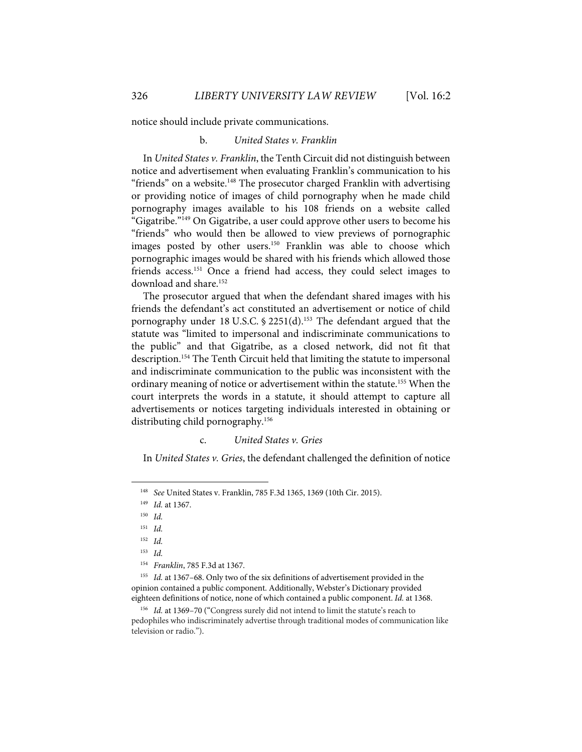notice should include private communications.

#### b. *United States v. Franklin*

In *United States v. Franklin*, the Tenth Circuit did not distinguish between notice and advertisement when evaluating Franklin's communication to his "friends" on a website.<sup>148</sup> The prosecutor charged Franklin with advertising or providing notice of images of child pornography when he made child pornography images available to his 108 friends on a website called "Gigatribe."149 On Gigatribe, a user could approve other users to become his "friends" who would then be allowed to view previews of pornographic images posted by other users.<sup>150</sup> Franklin was able to choose which pornographic images would be shared with his friends which allowed those friends access.<sup>151</sup> Once a friend had access, they could select images to download and share.<sup>152</sup>

The prosecutor argued that when the defendant shared images with his friends the defendant's act constituted an advertisement or notice of child pornography under 18 U.S.C. § 2251(d).<sup>153</sup> The defendant argued that the statute was "limited to impersonal and indiscriminate communications to the public" and that Gigatribe, as a closed network, did not fit that description.<sup>154</sup> The Tenth Circuit held that limiting the statute to impersonal and indiscriminate communication to the public was inconsistent with the ordinary meaning of notice or advertisement within the statute.<sup>155</sup> When the court interprets the words in a statute, it should attempt to capture all advertisements or notices targeting individuals interested in obtaining or distributing child pornography.156

## c. *United States v. Gries*

In *United States v. Gries*, the defendant challenged the definition of notice

155 *Id.* at 1367–68. Only two of the six definitions of advertisement provided in the opinion contained a public component. Additionally, Webster's Dictionary provided eighteen definitions of notice, none of which contained a public component. *Id.* at 1368.

<sup>148</sup> *See* United States v. Franklin, 785 F.3d 1365, 1369 (10th Cir. 2015).

<sup>149</sup> *Id.* at 1367.

<sup>150</sup> *Id.*

<sup>151</sup> *Id.*

<sup>152</sup> *Id.*

<sup>153</sup> *Id.*

<sup>154</sup> *Franklin*, 785 F.3d at 1367.

<sup>156</sup> *Id.* at 1369–70 ("Congress surely did not intend to limit the statute's reach to pedophiles who indiscriminately advertise through traditional modes of communication like television or radio.").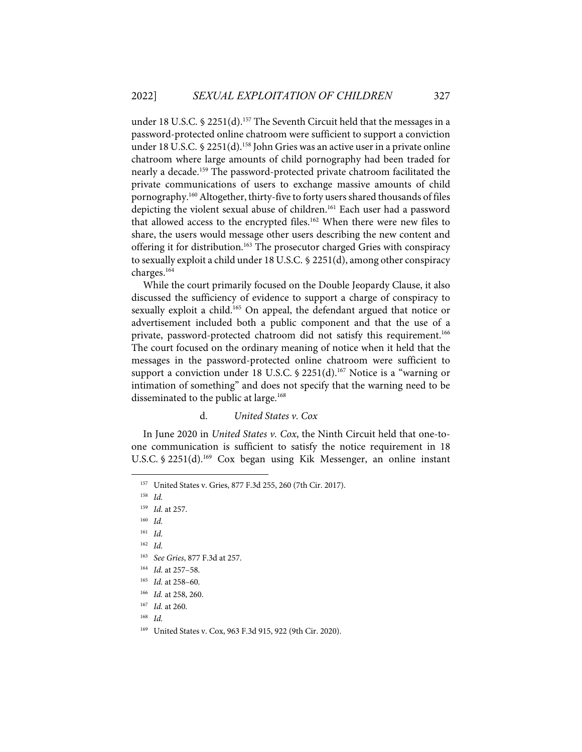under 18 U.S.C. § 2251(d).<sup>157</sup> The Seventh Circuit held that the messages in a password-protected online chatroom were sufficient to support a conviction under 18 U.S.C. § 2251(d).<sup>158</sup> John Gries was an active user in a private online chatroom where large amounts of child pornography had been traded for nearly a decade.<sup>159</sup> The password-protected private chatroom facilitated the private communications of users to exchange massive amounts of child pornography.160 Altogether, thirty-five to forty users shared thousands of files depicting the violent sexual abuse of children.161 Each user had a password that allowed access to the encrypted files.<sup>162</sup> When there were new files to share, the users would message other users describing the new content and offering it for distribution.163 The prosecutor charged Gries with conspiracy to sexually exploit a child under 18 U.S.C. § 2251(d), among other conspiracy charges.164

While the court primarily focused on the Double Jeopardy Clause, it also discussed the sufficiency of evidence to support a charge of conspiracy to sexually exploit a child.<sup>165</sup> On appeal, the defendant argued that notice or advertisement included both a public component and that the use of a private, password-protected chatroom did not satisfy this requirement.<sup>166</sup> The court focused on the ordinary meaning of notice when it held that the messages in the password-protected online chatroom were sufficient to support a conviction under 18 U.S.C.  $\S$  2251(d).<sup>167</sup> Notice is a "warning or intimation of something" and does not specify that the warning need to be disseminated to the public at large.<sup>168</sup>

## d. *United States v. Cox*

In June 2020 in *United States v. Cox*, the Ninth Circuit held that one-toone communication is sufficient to satisfy the notice requirement in 18 U.S.C. § 2251(d).<sup>169</sup> Cox began using Kik Messenger, an online instant

- 162 *Id.*
- 163 *See Gries*, 877 F.3d at 257.
- 164 *Id.* at 257–58.
- 165 *Id.* at 258–60.
- 166 *Id.* at 258, 260.
- 167 *Id.* at 260.
- 168 *Id.*
- 169 United States v. Cox, 963 F.3d 915, 922 (9th Cir. 2020).

<sup>157</sup> United States v. Gries, 877 F.3d 255, 260 (7th Cir. 2017).

<sup>158</sup> *Id.*

<sup>159</sup> *Id.* at 257.

<sup>160</sup> *Id.*

<sup>161</sup> *Id.*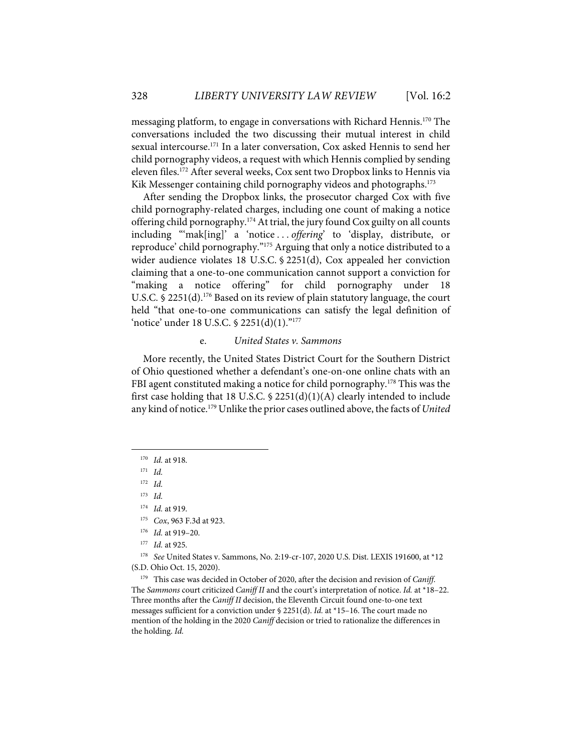messaging platform, to engage in conversations with Richard Hennis.170 The conversations included the two discussing their mutual interest in child sexual intercourse.<sup>171</sup> In a later conversation, Cox asked Hennis to send her child pornography videos, a request with which Hennis complied by sending eleven files. <sup>172</sup> After several weeks, Cox sent two Dropbox links to Hennis via Kik Messenger containing child pornography videos and photographs.<sup>173</sup>

After sending the Dropbox links, the prosecutor charged Cox with five child pornography-related charges, including one count of making a notice offering child pornography.174 At trial, the jury found Cox guilty on all counts including "'mak[ing]' a 'notice . . . *offering*' to 'display, distribute, or reproduce' child pornography."175 Arguing that only a notice distributed to a wider audience violates 18 U.S.C. § 2251(d), Cox appealed her conviction claiming that a one-to-one communication cannot support a conviction for "making a notice offering" for child pornography under 18 U.S.C. § 2251(d).<sup>176</sup> Based on its review of plain statutory language, the court held "that one-to-one communications can satisfy the legal definition of 'notice' under 18 U.S.C. § 2251(d)(1)."177

#### e. *United States v. Sammons*

More recently, the United States District Court for the Southern District of Ohio questioned whether a defendant's one-on-one online chats with an FBI agent constituted making a notice for child pornography.<sup>178</sup> This was the first case holding that 18 U.S.C. § 2251(d)(1)(A) clearly intended to include any kind of notice.179 Unlike the prior cases outlined above, the facts of *United* 

171 *Id.*

172 *Id.*

173 *Id.*

<sup>170</sup> *Id.* at 918.

<sup>174</sup> *Id.* at 919.

<sup>175</sup> *Cox*, 963 F.3d at 923.

<sup>176</sup> *Id.* at 919–20.

<sup>177</sup> *Id.* at 925.

<sup>178</sup> *See* United States v. Sammons, No. 2:19-cr-107, 2020 U.S. Dist. LEXIS 191600, at \*12 (S.D. Ohio Oct. 15, 2020).

<sup>179</sup> This case was decided in October of 2020, after the decision and revision of *Caniff*. The *Sammons* court criticized *Caniff II* and the court's interpretation of notice. *Id.* at \*18–22. Three months after the *Caniff II* decision, the Eleventh Circuit found one-to-one text messages sufficient for a conviction under § 2251(d). *Id.* at \*15–16. The court made no mention of the holding in the 2020 *Caniff* decision or tried to rationalize the differences in the holding. *Id.*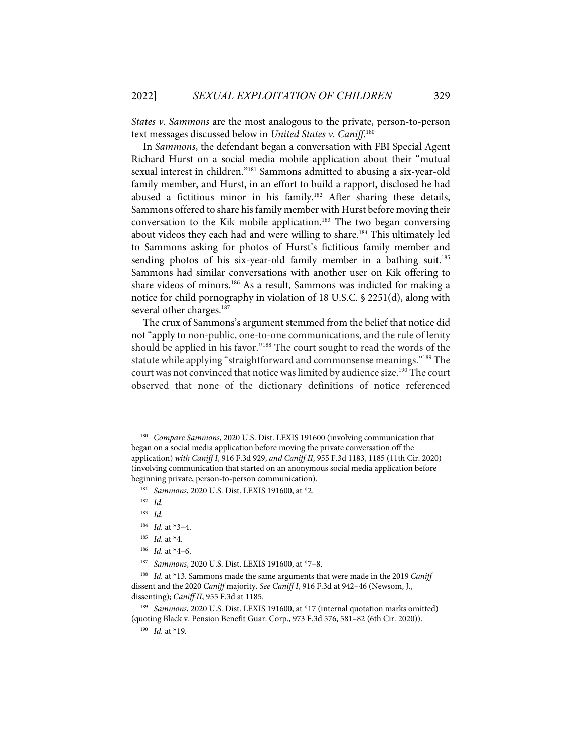*States v. Sammons* are the most analogous to the private, person-to-person text messages discussed below in *United States v. Caniff*. 180

In *Sammons*, the defendant began a conversation with FBI Special Agent Richard Hurst on a social media mobile application about their "mutual sexual interest in children."181 Sammons admitted to abusing a six-year-old family member, and Hurst, in an effort to build a rapport, disclosed he had abused a fictitious minor in his family.<sup>182</sup> After sharing these details, Sammons offered to share his family member with Hurst before moving their conversation to the Kik mobile application.<sup>183</sup> The two began conversing about videos they each had and were willing to share.<sup>184</sup> This ultimately led to Sammons asking for photos of Hurst's fictitious family member and sending photos of his six-year-old family member in a bathing suit.<sup>185</sup> Sammons had similar conversations with another user on Kik offering to share videos of minors.<sup>186</sup> As a result, Sammons was indicted for making a notice for child pornography in violation of 18 U.S.C. § 2251(d), along with several other charges.<sup>187</sup>

The crux of Sammons's argument stemmed from the belief that notice did not "apply to non-public, one-to-one communications, and the rule of lenity should be applied in his favor."<sup>188</sup> The court sought to read the words of the statute while applying "straightforward and commonsense meanings."<sup>189</sup> The court was not convinced that notice was limited by audience size.<sup>190</sup> The court observed that none of the dictionary definitions of notice referenced

- 184 *Id.* at \*3–4.
- 185 *Id.* at \*4.
- 186 *Id.* at \*4–6.
- 187 *Sammons*, 2020 U.S. Dist. LEXIS 191600, at \*7–8.

<sup>180</sup> *Compare Sammons*, 2020 U.S. Dist. LEXIS 191600 (involving communication that began on a social media application before moving the private conversation off the application) *with Caniff I*, 916 F.3d 929, *and Caniff II*, 955 F.3d 1183, 1185 (11th Cir. 2020) (involving communication that started on an anonymous social media application before beginning private, person-to-person communication).

<sup>181</sup> *Sammons*, 2020 U.S. Dist. LEXIS 191600, at \*2.

<sup>182</sup> *Id.*

<sup>183</sup> *Id.*

<sup>188</sup> *Id.* at \*13. Sammons made the same arguments that were made in the 2019 *Caniff*  dissent and the 2020 *Caniff* majority. *See Caniff I*, 916 F.3d at 942–46 (Newsom, J., dissenting); *Caniff II*, 955 F.3d at 1185.

<sup>&</sup>lt;sup>189</sup> *Sammons*, 2020 U.S. Dist. LEXIS 191600, at \*17 (internal quotation marks omitted) (quoting Black v. Pension Benefit Guar. Corp., 973 F.3d 576, 581–82 (6th Cir. 2020)).

<sup>190</sup> *Id.* at \*19.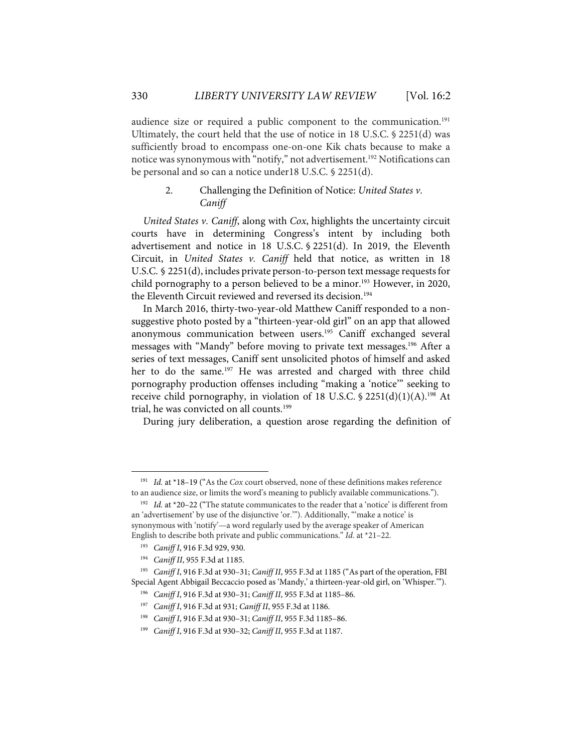audience size or required a public component to the communication.<sup>191</sup> Ultimately, the court held that the use of notice in 18 U.S.C. § 2251(d) was sufficiently broad to encompass one-on-one Kik chats because to make a notice was synonymous with "notify," not advertisement. <sup>192</sup> Notifications can be personal and so can a notice under18 U.S.C. § 2251(d).

## 2. Challenging the Definition of Notice: *United States v. Caniff*

*United States v. Caniff*, along with *Cox*, highlights the uncertainty circuit courts have in determining Congress's intent by including both advertisement and notice in 18 U.S.C. § 2251(d). In 2019, the Eleventh Circuit, in *United States v. Caniff* held that notice, as written in 18 U.S.C. § 2251(d), includes private person-to-person text message requests for child pornography to a person believed to be a minor.<sup>193</sup> However, in 2020, the Eleventh Circuit reviewed and reversed its decision.<sup>194</sup>

In March 2016, thirty-two-year-old Matthew Caniff responded to a nonsuggestive photo posted by a "thirteen-year-old girl" on an app that allowed anonymous communication between users.<sup>195</sup> Caniff exchanged several messages with "Mandy" before moving to private text messages.196 After a series of text messages, Caniff sent unsolicited photos of himself and asked her to do the same.<sup>197</sup> He was arrested and charged with three child pornography production offenses including "making a 'notice'" seeking to receive child pornography, in violation of 18 U.S.C. § 2251(d)(1)(A).<sup>198</sup> At trial, he was convicted on all counts.<sup>199</sup>

During jury deliberation, a question arose regarding the definition of

<sup>191</sup> *Id.* at \*18–19 ("As the *Cox* court observed, none of these definitions makes reference to an audience size, or limits the word's meaning to publicly available communications.").

<sup>&</sup>lt;sup>192</sup> *Id.* at \*20–22 ("The statute communicates to the reader that a 'notice' is different from an 'advertisement' by use of the disjunctive 'or.'"). Additionally, "'make a notice' is synonymous with 'notify'—a word regularly used by the average speaker of American English to describe both private and public communications." *Id.* at \*21–22.

<sup>193</sup> *Caniff I*, 916 F.3d 929, 930.

<sup>194</sup> *Caniff II*, 955 F.3d at 1185.

<sup>195</sup> *Caniff I*, 916 F.3d at 930–31; *Caniff II*, 955 F.3d at 1185 ("As part of the operation, FBI Special Agent Abbigail Beccaccio posed as 'Mandy,' a thirteen-year-old girl, on 'Whisper.'").

<sup>196</sup> *Caniff I*, 916 F.3d at 930–31; *Caniff II*, 955 F.3d at 1185–86.

<sup>197</sup> *Caniff I*, 916 F.3d at 931; *Caniff II*, 955 F.3d at 1186.

<sup>198</sup> *Caniff I*, 916 F.3d at 930–31; *Caniff II*, 955 F.3d 1185–86.

<sup>199</sup> *Caniff I*, 916 F.3d at 930–32; *Caniff II*, 955 F.3d at 1187.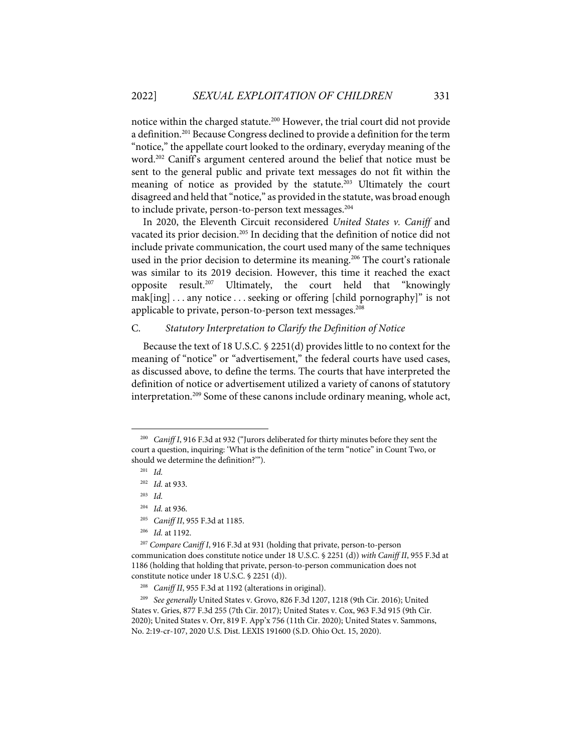notice within the charged statute.200 However, the trial court did not provide a definition.<sup>201</sup> Because Congress declined to provide a definition for the term "notice," the appellate court looked to the ordinary, everyday meaning of the word.<sup>202</sup> Caniff's argument centered around the belief that notice must be sent to the general public and private text messages do not fit within the meaning of notice as provided by the statute. $203$  Ultimately the court disagreed and held that "notice," as provided in the statute, was broad enough to include private, person-to-person text messages.<sup>204</sup>

In 2020, the Eleventh Circuit reconsidered *United States v. Caniff* and vacated its prior decision.<sup>205</sup> In deciding that the definition of notice did not include private communication, the court used many of the same techniques used in the prior decision to determine its meaning.<sup>206</sup> The court's rationale was similar to its 2019 decision. However, this time it reached the exact opposite result.207 Ultimately, the court held that "knowingly mak[ing] . . . any notice . . . seeking or offering [child pornography]" is not applicable to private, person-to-person text messages.<sup>208</sup>

## C. *Statutory Interpretation to Clarify the Definition of Notice*

Because the text of 18 U.S.C. § 2251(d) provides little to no context for the meaning of "notice" or "advertisement," the federal courts have used cases, as discussed above, to define the terms. The courts that have interpreted the definition of notice or advertisement utilized a variety of canons of statutory interpretation.<sup>209</sup> Some of these canons include ordinary meaning, whole act,

201 *Id.*

- 204 *Id.* at 936.
- 205 *Caniff II*, 955 F.3d at 1185.
- 206 *Id.* at 1192.

<sup>200</sup> *Caniff I*, 916 F.3d at 932 ("Jurors deliberated for thirty minutes before they sent the court a question, inquiring: 'What is the definition of the term "notice" in Count Two, or should we determine the definition?'").

<sup>202</sup> *Id.* at 933.

<sup>203</sup> *Id.* 

<sup>207</sup> *Compare Caniff I*, 916 F.3d at 931 (holding that private, person-to-person communication does constitute notice under 18 U.S.C. § 2251 (d)) *with Caniff II*, 955 F.3d at 1186 (holding that holding that private, person-to-person communication does not constitute notice under 18 U.S.C. § 2251 (d)).

<sup>208</sup> *Caniff II*, 955 F.3d at 1192 (alterations in original).

<sup>209</sup> *See generally* United States v. Grovo, 826 F.3d 1207, 1218 (9th Cir. 2016); United States v. Gries, 877 F.3d 255 (7th Cir. 2017); United States v. Cox, 963 F.3d 915 (9th Cir. 2020); United States v. Orr, 819 F. App'x 756 (11th Cir. 2020); United States v. Sammons, No. 2:19-cr-107, 2020 U.S. Dist. LEXIS 191600 (S.D. Ohio Oct. 15, 2020).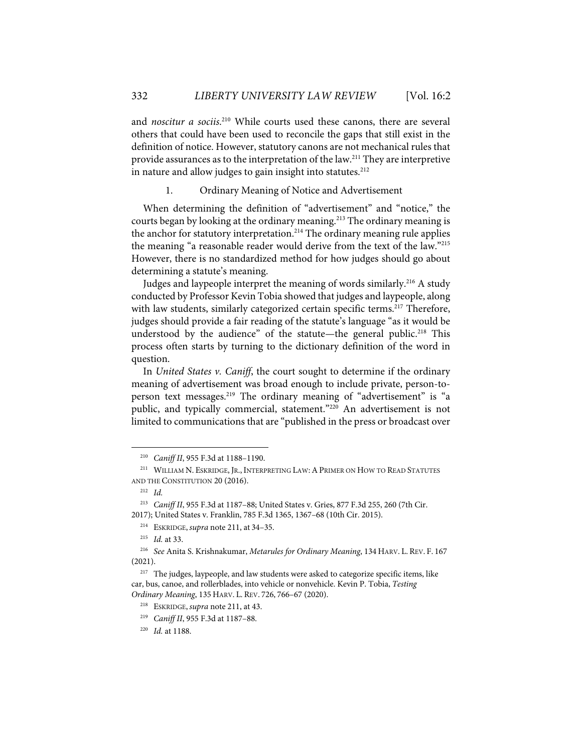and *noscitur a sociis*. <sup>210</sup> While courts used these canons, there are several others that could have been used to reconcile the gaps that still exist in the definition of notice. However, statutory canons are not mechanical rules that provide assurances as to the interpretation of the law.211 They are interpretive in nature and allow judges to gain insight into statutes. $212$ 

1. Ordinary Meaning of Notice and Advertisement

When determining the definition of "advertisement" and "notice," the courts began by looking at the ordinary meaning.<sup>213</sup> The ordinary meaning is the anchor for statutory interpretation.<sup>214</sup> The ordinary meaning rule applies the meaning "a reasonable reader would derive from the text of the law."215 However, there is no standardized method for how judges should go about determining a statute's meaning.

Judges and laypeople interpret the meaning of words similarly.<sup>216</sup> A study conducted by Professor Kevin Tobia showed that judges and laypeople, along with law students, similarly categorized certain specific terms.<sup>217</sup> Therefore, judges should provide a fair reading of the statute's language "as it would be understood by the audience" of the statute—the general public.<sup>218</sup> This process often starts by turning to the dictionary definition of the word in question.

In *United States v. Caniff*, the court sought to determine if the ordinary meaning of advertisement was broad enough to include private, person-toperson text messages.<sup>219</sup> The ordinary meaning of "advertisement" is "a public, and typically commercial, statement."<sup>220</sup> An advertisement is not limited to communications that are "published in the press or broadcast over

<sup>210</sup> *Caniff II*, 955 F.3d at 1188–1190.

<sup>&</sup>lt;sup>211</sup> WILLIAM N. ESKRIDGE, JR., INTERPRETING LAW: A PRIMER ON HOW TO READ STATUTES AND THE CONSTITUTION 20 (2016).

<sup>212</sup> *Id.* 

<sup>213</sup> *Caniff II*, 955 F.3d at 1187–88; United States v. Gries, 877 F.3d 255, 260 (7th Cir. 2017); United States v. Franklin, 785 F.3d 1365, 1367–68 (10th Cir. 2015).

<sup>214</sup> ESKRIDGE, *supra* note 211, at 34–35.

<sup>215</sup> *Id.* at 33.

<sup>216</sup> *See* Anita S. Krishnakumar, *Metarules for Ordinary Meaning*, 134 HARV. L. REV. F. 167 (2021).

<sup>&</sup>lt;sup>217</sup> The judges, laypeople, and law students were asked to categorize specific items, like car, bus, canoe, and rollerblades, into vehicle or nonvehicle. Kevin P. Tobia, *Testing Ordinary Meaning*, 135 HARV. L. REV. 726, 766–67 (2020).

<sup>218</sup> ESKRIDGE, *supra* note 211, at 43.

<sup>219</sup> *Caniff II*, 955 F.3d at 1187–88.

<sup>220</sup> *Id.* at 1188.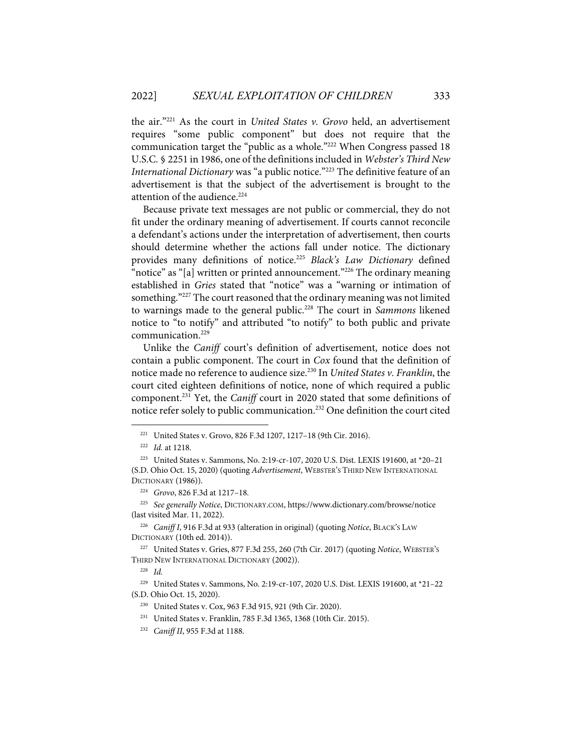the air."221 As the court in *United States v. Grovo* held, an advertisement requires "some public component" but does not require that the communication target the "public as a whole."222 When Congress passed 18 U.S.C. § 2251 in 1986, one of the definitions included in *Webster's Third New International Dictionary* was "a public notice."223 The definitive feature of an advertisement is that the subject of the advertisement is brought to the attention of the audience.<sup>224</sup>

Because private text messages are not public or commercial, they do not fit under the ordinary meaning of advertisement. If courts cannot reconcile a defendant's actions under the interpretation of advertisement, then courts should determine whether the actions fall under notice. The dictionary provides many definitions of notice.225 *Black's Law Dictionary* defined "notice" as "[a] written or printed announcement."<sup>226</sup> The ordinary meaning established in *Gries* stated that "notice" was a "warning or intimation of something."<sup>227</sup> The court reasoned that the ordinary meaning was not limited to warnings made to the general public.228 The court in *Sammons* likened notice to "to notify" and attributed "to notify" to both public and private communication.<sup>229</sup>

Unlike the *Caniff* court's definition of advertisement, notice does not contain a public component. The court in *Cox* found that the definition of notice made no reference to audience size.230 In *United States v. Franklin*, the court cited eighteen definitions of notice, none of which required a public component.231 Yet, the *Caniff* court in 2020 stated that some definitions of notice refer solely to public communication.232 One definition the court cited

226 *Caniff I*, 916 F.3d at 933 (alteration in original) (quoting *Notice*, BLACK'S LAW DICTIONARY (10th ed. 2014)).

<sup>221</sup> United States v. Grovo, 826 F.3d 1207, 1217–18 (9th Cir. 2016).

<sup>222</sup> *Id.* at 1218.

<sup>223</sup> United States v. Sammons, No. 2:19-cr-107, 2020 U.S. Dist. LEXIS 191600, at \*20–21 (S.D. Ohio Oct. 15, 2020) (quoting *Advertisement*, WEBSTER'S THIRD NEW INTERNATIONAL DICTIONARY (1986)).

<sup>224</sup> *Grovo*, 826 F.3d at 1217–18.

<sup>225</sup> *See generally Notice*, DICTIONARY.COM, https://www.dictionary.com/browse/notice (last visited Mar. 11, 2022).

<sup>227</sup> United States v. Gries, 877 F.3d 255, 260 (7th Cir. 2017) (quoting *Notice*, WEBSTER'S THIRD NEW INTERNATIONAL DICTIONARY (2002)).

<sup>228</sup> *Id.*

<sup>229</sup> United States v. Sammons, No. 2:19-cr-107, 2020 U.S. Dist. LEXIS 191600, at \*21–22 (S.D. Ohio Oct. 15, 2020).

<sup>230</sup> United States v. Cox, 963 F.3d 915, 921 (9th Cir. 2020).

<sup>231</sup> United States v. Franklin, 785 F.3d 1365, 1368 (10th Cir. 2015).

<sup>232</sup> *Caniff II*, 955 F.3d at 1188.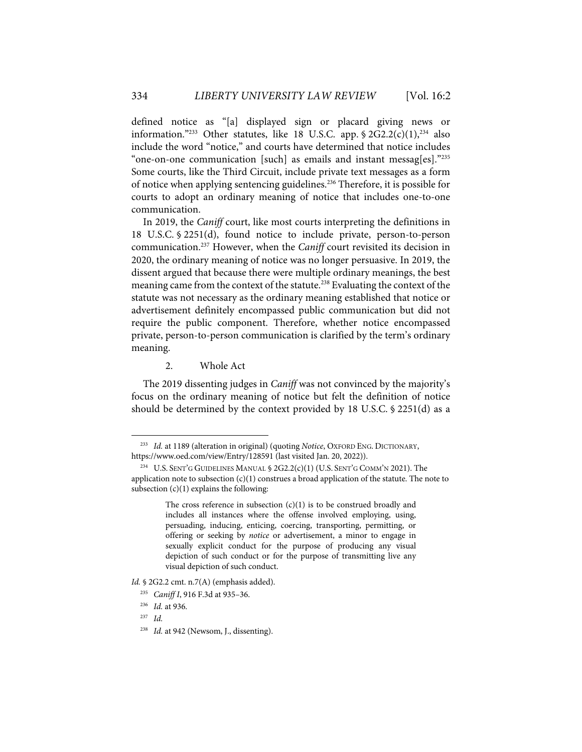defined notice as "[a] displayed sign or placard giving news or information."<sup>233</sup> Other statutes, like 18 U.S.C. app.  $\frac{6}{2}$  2G2.2(c)(1),<sup>234</sup> also include the word "notice," and courts have determined that notice includes "one-on-one communication [such] as emails and instant messag[es]."235 Some courts, like the Third Circuit, include private text messages as a form of notice when applying sentencing guidelines. <sup>236</sup> Therefore, it is possible for courts to adopt an ordinary meaning of notice that includes one-to-one communication.

In 2019, the *Caniff* court, like most courts interpreting the definitions in 18 U.S.C. § 2251(d), found notice to include private, person-to-person communication.237 However, when the *Caniff* court revisited its decision in 2020, the ordinary meaning of notice was no longer persuasive. In 2019, the dissent argued that because there were multiple ordinary meanings, the best meaning came from the context of the statute.<sup>238</sup> Evaluating the context of the statute was not necessary as the ordinary meaning established that notice or advertisement definitely encompassed public communication but did not require the public component. Therefore, whether notice encompassed private, person-to-person communication is clarified by the term's ordinary meaning.

2. Whole Act

The 2019 dissenting judges in *Caniff* was not convinced by the majority's focus on the ordinary meaning of notice but felt the definition of notice should be determined by the context provided by 18 U.S.C. § 2251(d) as a

<sup>233</sup> *Id.* at 1189 (alteration in original) (quoting *Notice*, OXFORD ENG. DICTIONARY, https://www.oed.com/view/Entry/128591 (last visited Jan. 20, 2022)).

<sup>&</sup>lt;sup>234</sup> U.S. SENT'G GUIDELINES MANUAL  $$ 2G2.2(c)(1) (U.S. SENT'G COMM'N 2021)$ . The application note to subsection  $(c)(1)$  construes a broad application of the statute. The note to subsection  $(c)(1)$  explains the following:

The cross reference in subsection  $(c)(1)$  is to be construed broadly and includes all instances where the offense involved employing, using, persuading, inducing, enticing, coercing, transporting, permitting, or offering or seeking by *notice* or advertisement, a minor to engage in sexually explicit conduct for the purpose of producing any visual depiction of such conduct or for the purpose of transmitting live any visual depiction of such conduct.

*Id.* § 2G2.2 cmt. n.7(A) (emphasis added).

<sup>235</sup> *Caniff I*, 916 F.3d at 935–36.

<sup>236</sup> *Id.* at 936.

<sup>237</sup> *Id.* 

<sup>&</sup>lt;sup>238</sup> *Id.* at 942 (Newsom, J., dissenting).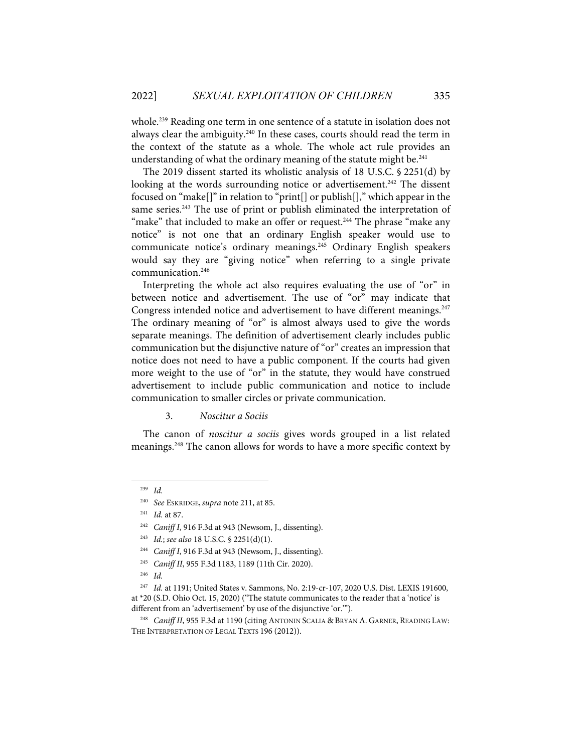whole. <sup>239</sup> Reading one term in one sentence of a statute in isolation does not always clear the ambiguity.<sup>240</sup> In these cases, courts should read the term in the context of the statute as a whole. The whole act rule provides an understanding of what the ordinary meaning of the statute might be. $241$ 

The 2019 dissent started its wholistic analysis of 18 U.S.C. § 2251(d) by looking at the words surrounding notice or advertisement.<sup>242</sup> The dissent focused on "make[]" in relation to "print[] or publish[]," which appear in the same series.<sup>243</sup> The use of print or publish eliminated the interpretation of "make" that included to make an offer or request.<sup>244</sup> The phrase "make any notice" is not one that an ordinary English speaker would use to communicate notice's ordinary meanings.<sup>245</sup> Ordinary English speakers would say they are "giving notice" when referring to a single private communication.246

Interpreting the whole act also requires evaluating the use of "or" in between notice and advertisement. The use of "or" may indicate that Congress intended notice and advertisement to have different meanings.<sup>247</sup> The ordinary meaning of "or" is almost always used to give the words separate meanings. The definition of advertisement clearly includes public communication but the disjunctive nature of "or" creates an impression that notice does not need to have a public component. If the courts had given more weight to the use of "or" in the statute, they would have construed advertisement to include public communication and notice to include communication to smaller circles or private communication.

3. *Noscitur a Sociis*

The canon of *noscitur a sociis* gives words grouped in a list related meanings.<sup>248</sup> The canon allows for words to have a more specific context by

<sup>239</sup> *Id.*

<sup>240</sup> *See* ESKRIDGE, *supra* note 211, at 85.

<sup>241</sup> *Id.* at 87.

<sup>242</sup> *Caniff I*, 916 F.3d at 943 (Newsom, J., dissenting).

<sup>243</sup> *Id.*; *see also* 18 U.S.C. § 2251(d)(1).

<sup>244</sup> *Caniff I*, 916 F.3d at 943 (Newsom, J., dissenting).

<sup>245</sup> *Caniff II*, 955 F.3d 1183, 1189 (11th Cir. 2020).

<sup>246</sup> *Id.*

<sup>247</sup> *Id.* at 1191; United States v. Sammons, No. 2:19-cr-107, 2020 U.S. Dist. LEXIS 191600, at \*20 (S.D. Ohio Oct. 15, 2020) ("The statute communicates to the reader that a 'notice' is different from an 'advertisement' by use of the disjunctive 'or.'").

Caniff II, 955 F.3d at 1190 (citing ANTONIN SCALIA & BRYAN A. GARNER, READING LAW: THE INTERPRETATION OF LEGAL TEXTS 196 (2012)).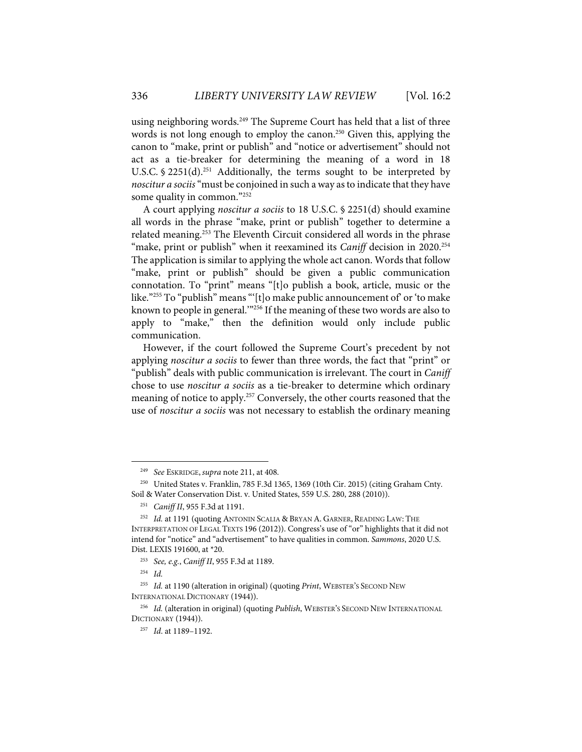using neighboring words.<sup>249</sup> The Supreme Court has held that a list of three words is not long enough to employ the canon.<sup>250</sup> Given this, applying the canon to "make, print or publish" and "notice or advertisement" should not act as a tie-breaker for determining the meaning of a word in 18 U.S.C. § 2251(d).<sup>251</sup> Additionally, the terms sought to be interpreted by *noscitur a sociis*"must be conjoined in such a way as to indicate that they have some quality in common."252

A court applying *noscitur a sociis* to 18 U.S.C. § 2251(d) should examine all words in the phrase "make, print or publish" together to determine a related meaning.<sup>253</sup> The Eleventh Circuit considered all words in the phrase "make, print or publish" when it reexamined its *Caniff* decision in 2020.<sup>254</sup> The application is similar to applying the whole act canon. Words that follow "make, print or publish" should be given a public communication connotation. To "print" means "[t]o publish a book, article, music or the like."<sup>255</sup> To "publish" means "'[t]o make public announcement of' or 'to make known to people in general.'"256 If the meaning of these two words are also to apply to "make," then the definition would only include public communication.

However, if the court followed the Supreme Court's precedent by not applying *noscitur a sociis* to fewer than three words, the fact that "print" or "publish" deals with public communication is irrelevant. The court in *Caniff* chose to use *noscitur a sociis* as a tie-breaker to determine which ordinary meaning of notice to apply.<sup>257</sup> Conversely, the other courts reasoned that the use of *noscitur a sociis* was not necessary to establish the ordinary meaning

254 *Id.*

<sup>249</sup> *See* ESKRIDGE, *supra* note 211, at 408.

<sup>&</sup>lt;sup>250</sup> United States v. Franklin, 785 F.3d 1365, 1369 (10th Cir. 2015) (citing Graham Cnty. Soil & Water Conservation Dist. v. United States, 559 U.S. 280, 288 (2010)).

<sup>251</sup> *Caniff II*, 955 F.3d at 1191.

<sup>&</sup>lt;sup>252</sup> Id. at 1191 (quoting ANTONIN SCALIA & BRYAN A. GARNER, READING LAW: THE INTERPRETATION OF LEGAL TEXTS 196 (2012)). Congress's use of "or" highlights that it did not intend for "notice" and "advertisement" to have qualities in common. *Sammons*, 2020 U.S. Dist. LEXIS 191600, at \*20.

<sup>253</sup> *See, e.g.*, *Caniff II*, 955 F.3d at 1189.

<sup>255</sup> *Id.* at 1190 (alteration in original) (quoting *Print*, WEBSTER'S SECOND NEW INTERNATIONAL DICTIONARY (1944)).

<sup>&</sup>lt;sup>256</sup> Id. (alteration in original) (quoting *Publish*, WEBSTER'S SECOND NEW INTERNATIONAL DICTIONARY (1944)).

<sup>257</sup> *Id*. at 1189–1192.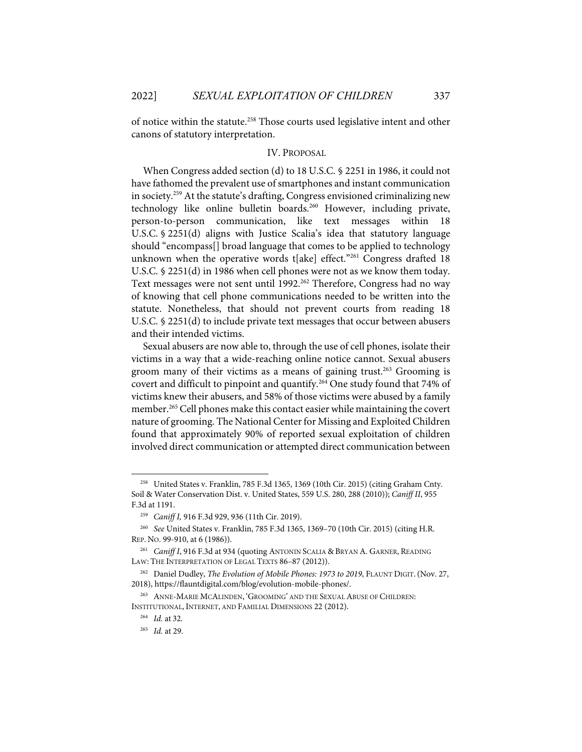of notice within the statute.258 Those courts used legislative intent and other canons of statutory interpretation.

#### IV. PROPOSAL

When Congress added section (d) to 18 U.S.C. § 2251 in 1986, it could not have fathomed the prevalent use of smartphones and instant communication in society. <sup>259</sup> At the statute's drafting, Congress envisioned criminalizing new technology like online bulletin boards.<sup>260</sup> However, including private, person-to-person communication, like text messages within 18 U.S.C. § 2251(d) aligns with Justice Scalia's idea that statutory language should "encompass[] broad language that comes to be applied to technology unknown when the operative words t[ake] effect."<sup>261</sup> Congress drafted 18 U.S.C. § 2251(d) in 1986 when cell phones were not as we know them today. Text messages were not sent until 1992.<sup>262</sup> Therefore, Congress had no way of knowing that cell phone communications needed to be written into the statute. Nonetheless, that should not prevent courts from reading 18 U.S.C. § 2251(d) to include private text messages that occur between abusers and their intended victims.

Sexual abusers are now able to, through the use of cell phones, isolate their victims in a way that a wide-reaching online notice cannot. Sexual abusers groom many of their victims as a means of gaining trust.<sup>263</sup> Grooming is covert and difficult to pinpoint and quantify. <sup>264</sup> One study found that 74% of victims knew their abusers, and 58% of those victims were abused by a family member.<sup>265</sup> Cell phones make this contact easier while maintaining the covert nature of grooming. The National Center for Missing and Exploited Children found that approximately 90% of reported sexual exploitation of children involved direct communication or attempted direct communication between

<sup>258</sup> United States v. Franklin, 785 F.3d 1365, 1369 (10th Cir. 2015) (citing Graham Cnty. Soil & Water Conservation Dist. v. United States, 559 U.S. 280, 288 (2010)); *Caniff II*, 955 F.3d at 1191.

<sup>259</sup> *Caniff I,* 916 F.3d 929, 936 (11th Cir. 2019).

<sup>260</sup> *See* United States v. Franklin, 785 F.3d 1365, 1369–70 (10th Cir. 2015) (citing H.R. REP. NO. 99-910, at 6 (1986)).

<sup>261</sup> *Caniff I*, 916 F.3d at 934 (quoting ANTONIN SCALIA & BRYAN A. GARNER, READING LAW: THE INTERPRETATION OF LEGAL TEXTS 86-87 (2012)).

<sup>&</sup>lt;sup>262</sup> Daniel Dudley, *The Evolution of Mobile Phones: 1973 to 2019*, FLAUNT DIGIT. (Nov. 27, 2018), https://flauntdigital.com/blog/evolution-mobile-phones/.

<sup>263</sup> ANNE-MARIE MCALINDEN, 'GROOMING' AND THE SEXUAL ABUSE OF CHILDREN: INSTITUTIONAL, INTERNET, AND FAMILIAL DIMENSIONS 22 (2012).

<sup>264</sup> *Id.* at 32.

<sup>265</sup> *Id.* at 29.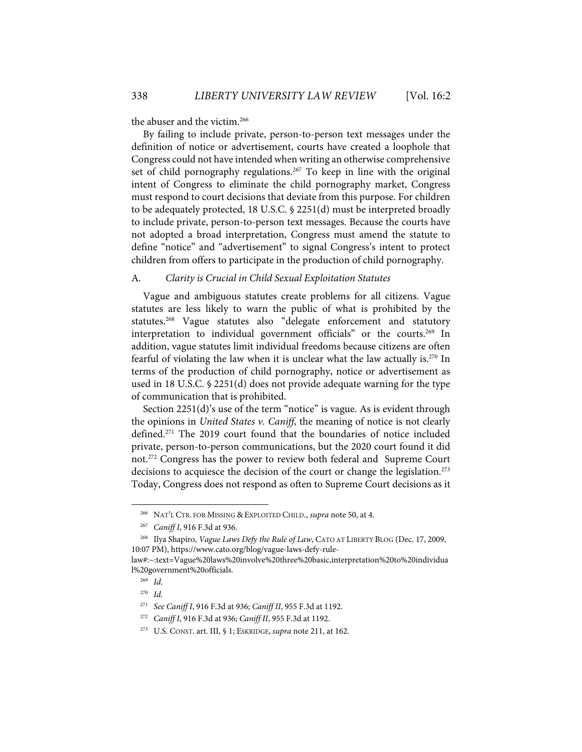the abuser and the victim.<sup>266</sup>

By failing to include private, person-to-person text messages under the definition of notice or advertisement, courts have created a loophole that Congress could not have intended when writing an otherwise comprehensive set of child pornography regulations.<sup>267</sup> To keep in line with the original intent of Congress to eliminate the child pornography market, Congress must respond to court decisions that deviate from this purpose. For children to be adequately protected, 18 U.S.C. § 2251(d) must be interpreted broadly to include private, person-to-person text messages. Because the courts have not adopted a broad interpretation, Congress must amend the statute to define "notice" and "advertisement" to signal Congress's intent to protect children from offers to participate in the production of child pornography.

#### A. *Clarity is Crucial in Child Sexual Exploitation Statutes*

Vague and ambiguous statutes create problems for all citizens. Vague statutes are less likely to warn the public of what is prohibited by the statutes. <sup>268</sup> Vague statutes also "delegate enforcement and statutory interpretation to individual government officials" or the courts.<sup>269</sup> In addition, vague statutes limit individual freedoms because citizens are often fearful of violating the law when it is unclear what the law actually is.<sup>270</sup> In terms of the production of child pornography, notice or advertisement as used in 18 U.S.C. § 2251(d) does not provide adequate warning for the type of communication that is prohibited.

Section 2251(d)'s use of the term "notice" is vague. As is evident through the opinions in *United States v. Caniff*, the meaning of notice is not clearly defined. <sup>271</sup> The 2019 court found that the boundaries of notice included private, person-to-person communications, but the 2020 court found it did not.272 Congress has the power to review both federal and Supreme Court decisions to acquiesce the decision of the court or change the legislation.<sup>273</sup> Today, Congress does not respond as often to Supreme Court decisions as it

<sup>266</sup> NAT'L CTR. FOR MISSING & EXPLOITED CHILD., *supra* note 50, at 4.

<sup>267</sup> *Caniff I*, 916 F.3d at 936.

<sup>268</sup> Ilya Shapiro, *Vague Laws Defy the Rule of Law*, CATO AT LIBERTY BLOG (Dec. 17, 2009, 10:07 PM), https://www.cato.org/blog/vague-laws-defy-rule-

law#:~:text=Vague%20laws%20involve%20three%20basic,interpretation%20to%20individua l%20government%20officials.

<sup>269</sup> *Id.*

<sup>270</sup> *Id.*

<sup>271</sup> *See Caniff I*, 916 F.3d at 936; *Caniff II*, 955 F.3d at 1192.

<sup>272</sup> *Caniff I*, 916 F.3d at 936; *Caniff II*, 955 F.3d at 1192.

<sup>273</sup> U.S. CONST. art. III, § 1; ESKRIDGE, *supra* note 211, at 162.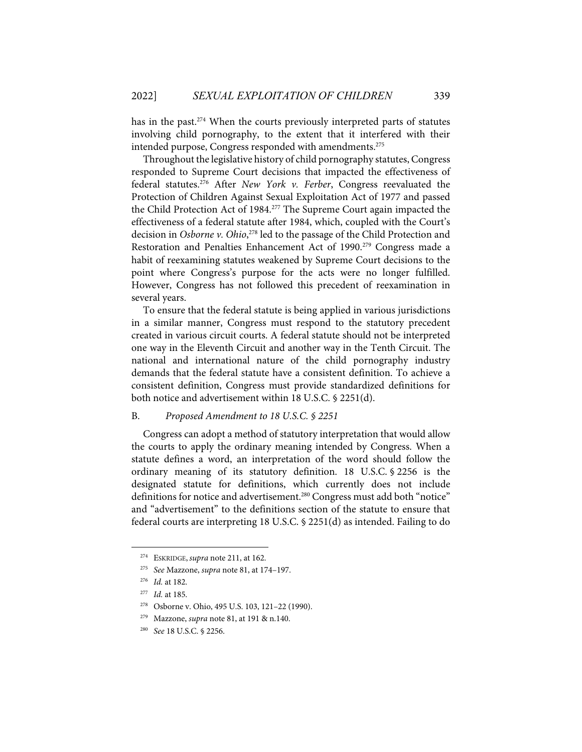has in the past. $274$  When the courts previously interpreted parts of statutes involving child pornography, to the extent that it interfered with their intended purpose, Congress responded with amendments.<sup>275</sup>

Throughout the legislative history of child pornography statutes, Congress responded to Supreme Court decisions that impacted the effectiveness of federal statutes.276 After *New York v. Ferber*, Congress reevaluated the Protection of Children Against Sexual Exploitation Act of 1977 and passed the Child Protection Act of 1984.277 The Supreme Court again impacted the effectiveness of a federal statute after 1984, which, coupled with the Court's decision in *Osborne v. Ohio*, <sup>278</sup> led to the passage of the Child Protection and Restoration and Penalties Enhancement Act of 1990.<sup>279</sup> Congress made a habit of reexamining statutes weakened by Supreme Court decisions to the point where Congress's purpose for the acts were no longer fulfilled. However, Congress has not followed this precedent of reexamination in several years.

To ensure that the federal statute is being applied in various jurisdictions in a similar manner, Congress must respond to the statutory precedent created in various circuit courts. A federal statute should not be interpreted one way in the Eleventh Circuit and another way in the Tenth Circuit. The national and international nature of the child pornography industry demands that the federal statute have a consistent definition. To achieve a consistent definition, Congress must provide standardized definitions for both notice and advertisement within 18 U.S.C. § 2251(d).

#### B. *Proposed Amendment to 18 U.S.C. § 2251*

Congress can adopt a method of statutory interpretation that would allow the courts to apply the ordinary meaning intended by Congress. When a statute defines a word, an interpretation of the word should follow the ordinary meaning of its statutory definition. 18 U.S.C. § 2256 is the designated statute for definitions, which currently does not include definitions for notice and advertisement.<sup>280</sup> Congress must add both "notice" and "advertisement" to the definitions section of the statute to ensure that federal courts are interpreting 18 U.S.C. § 2251(d) as intended. Failing to do

<sup>274</sup> ESKRIDGE, *supra* note 211, at 162.

<sup>275</sup> *See* Mazzone, *supra* note 81, at 174–197.

<sup>276</sup> *Id.* at 182.

<sup>277</sup> *Id.* at 185.

<sup>278</sup> Osborne v. Ohio, 495 U.S. 103, 121–22 (1990).

<sup>279</sup> Mazzone, *supra* note 81, at 191 & n.140.

<sup>280</sup> *See* 18 U.S.C. § 2256.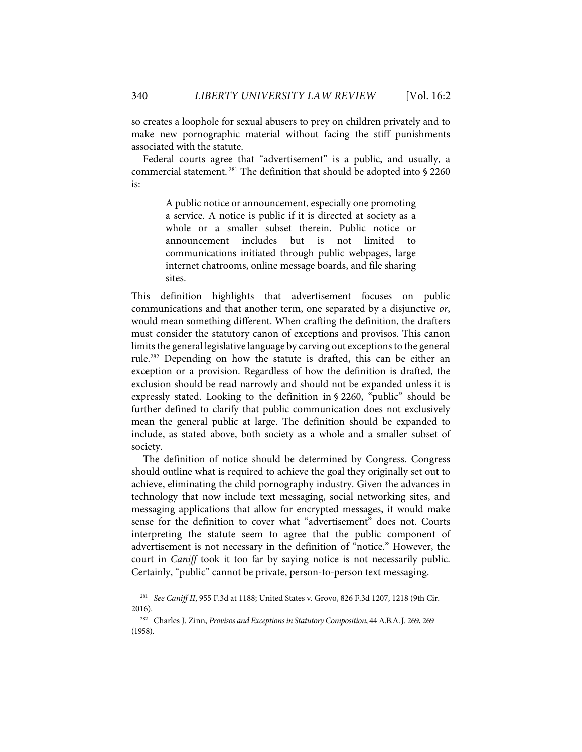so creates a loophole for sexual abusers to prey on children privately and to make new pornographic material without facing the stiff punishments associated with the statute.

Federal courts agree that "advertisement" is a public, and usually, a commercial statement. <sup>281</sup> The definition that should be adopted into § 2260 is:

> A public notice or announcement, especially one promoting a service. A notice is public if it is directed at society as a whole or a smaller subset therein. Public notice or announcement includes but is not limited to communications initiated through public webpages, large internet chatrooms, online message boards, and file sharing sites.

This definition highlights that advertisement focuses on public communications and that another term, one separated by a disjunctive *or*, would mean something different. When crafting the definition, the drafters must consider the statutory canon of exceptions and provisos. This canon limits the general legislative language by carving out exceptions to the general rule.282 Depending on how the statute is drafted, this can be either an exception or a provision. Regardless of how the definition is drafted, the exclusion should be read narrowly and should not be expanded unless it is expressly stated. Looking to the definition in § 2260, "public" should be further defined to clarify that public communication does not exclusively mean the general public at large. The definition should be expanded to include, as stated above, both society as a whole and a smaller subset of society.

The definition of notice should be determined by Congress. Congress should outline what is required to achieve the goal they originally set out to achieve, eliminating the child pornography industry. Given the advances in technology that now include text messaging, social networking sites, and messaging applications that allow for encrypted messages, it would make sense for the definition to cover what "advertisement" does not. Courts interpreting the statute seem to agree that the public component of advertisement is not necessary in the definition of "notice." However, the court in *Caniff* took it too far by saying notice is not necessarily public. Certainly, "public" cannot be private, person-to-person text messaging.

<sup>281</sup> *See Caniff II*, 955 F.3d at 1188; United States v. Grovo, 826 F.3d 1207, 1218 (9th Cir. 2016).

<sup>282</sup> Charles J. Zinn, *Provisos and Exceptions in Statutory Composition*, 44 A.B.A.J. 269, 269 (1958).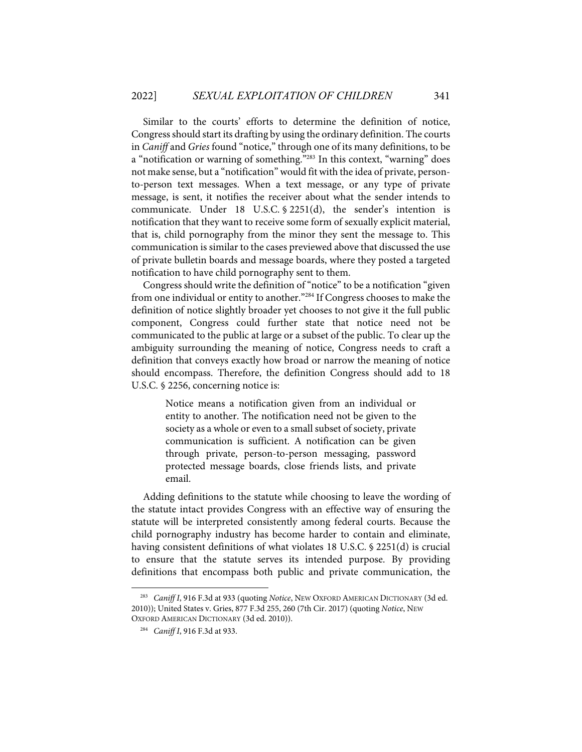Similar to the courts' efforts to determine the definition of notice, Congress should start its drafting by using the ordinary definition. The courts in *Caniff* and *Gries* found "notice," through one of its many definitions, to be a "notification or warning of something."283 In this context, "warning" does not make sense, but a "notification" would fit with the idea of private, personto-person text messages. When a text message, or any type of private message, is sent, it notifies the receiver about what the sender intends to communicate. Under 18 U.S.C. § 2251(d), the sender's intention is notification that they want to receive some form of sexually explicit material, that is, child pornography from the minor they sent the message to. This communication is similar to the cases previewed above that discussed the use of private bulletin boards and message boards, where they posted a targeted notification to have child pornography sent to them.

Congress should write the definition of "notice" to be a notification "given from one individual or entity to another."284 If Congress chooses to make the definition of notice slightly broader yet chooses to not give it the full public component, Congress could further state that notice need not be communicated to the public at large or a subset of the public. To clear up the ambiguity surrounding the meaning of notice, Congress needs to craft a definition that conveys exactly how broad or narrow the meaning of notice should encompass. Therefore, the definition Congress should add to 18 U.S.C. § 2256, concerning notice is:

> Notice means a notification given from an individual or entity to another. The notification need not be given to the society as a whole or even to a small subset of society, private communication is sufficient. A notification can be given through private, person-to-person messaging, password protected message boards, close friends lists, and private email.

Adding definitions to the statute while choosing to leave the wording of the statute intact provides Congress with an effective way of ensuring the statute will be interpreted consistently among federal courts. Because the child pornography industry has become harder to contain and eliminate, having consistent definitions of what violates 18 U.S.C. § 2251(d) is crucial to ensure that the statute serves its intended purpose. By providing definitions that encompass both public and private communication, the

<sup>283</sup> *Caniff I*, 916 F.3d at 933 (quoting *Notice*, NEW OXFORD AMERICAN DICTIONARY (3d ed. 2010)); United States v. Gries, 877 F.3d 255, 260 (7th Cir. 2017) (quoting *Notice*, NEW OXFORD AMERICAN DICTIONARY (3d ed. 2010)).

<sup>284</sup> *Caniff I*, 916 F.3d at 933.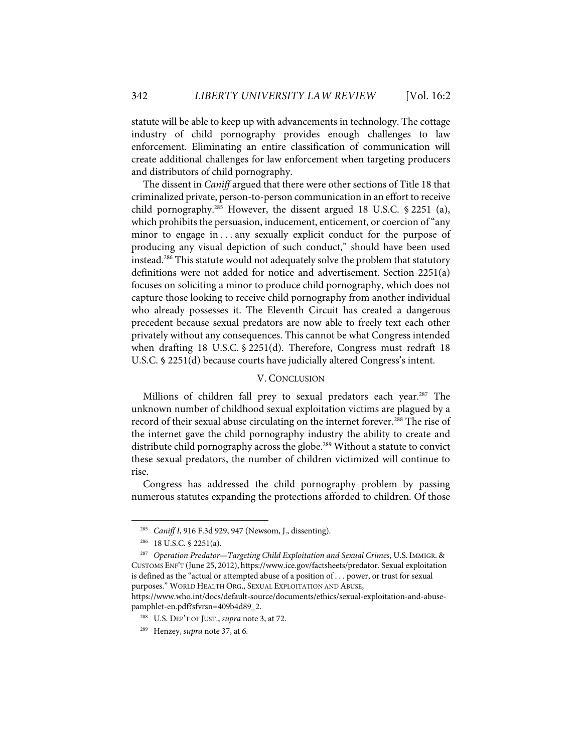statute will be able to keep up with advancements in technology. The cottage industry of child pornography provides enough challenges to law enforcement. Eliminating an entire classification of communication will create additional challenges for law enforcement when targeting producers and distributors of child pornography.

The dissent in *Caniff* argued that there were other sections of Title 18 that criminalized private, person-to-person communication in an effort to receive child pornography.285 However, the dissent argued 18 U.S.C. § 2251 (a), which prohibits the persuasion, inducement, enticement, or coercion of "any minor to engage in ... any sexually explicit conduct for the purpose of producing any visual depiction of such conduct," should have been used instead.286 This statute would not adequately solve the problem that statutory definitions were not added for notice and advertisement. Section 2251(a) focuses on soliciting a minor to produce child pornography, which does not capture those looking to receive child pornography from another individual who already possesses it. The Eleventh Circuit has created a dangerous precedent because sexual predators are now able to freely text each other privately without any consequences. This cannot be what Congress intended when drafting 18 U.S.C. § 2251(d). Therefore, Congress must redraft 18 U.S.C. § 2251(d) because courts have judicially altered Congress's intent.

#### V. CONCLUSION

Millions of children fall prey to sexual predators each year.<sup>287</sup> The unknown number of childhood sexual exploitation victims are plagued by a record of their sexual abuse circulating on the internet forever.<sup>288</sup> The rise of the internet gave the child pornography industry the ability to create and distribute child pornography across the globe. <sup>289</sup> Without a statute to convict these sexual predators, the number of children victimized will continue to rise.

Congress has addressed the child pornography problem by passing numerous statutes expanding the protections afforded to children. Of those

<sup>285</sup> *Caniff I*, 916 F.3d 929, 947 (Newsom, J., dissenting).

<sup>286 18</sup> U.S.C. § 2251(a).

<sup>287</sup> *Operation Predator—Targeting Child Exploitation and Sexual Crimes*, U.S. IMMIGR. & CUSTOMS ENF'T (June 25, 2012), https://www.ice.gov/factsheets/predator. Sexual exploitation is defined as the "actual or attempted abuse of a position of . . . power, or trust for sexual purposes." WORLD HEALTH ORG., SEXUAL EXPLOITATION AND ABUSE,

https://www.who.int/docs/default-source/documents/ethics/sexual-exploitation-and-abusepamphlet-en.pdf?sfvrsn=409b4d89\_2.

<sup>288</sup> U.S. DEP'T OF JUST., *supra* note 3, at 72.

<sup>289</sup> Henzey, *supra* note 37, at 6.